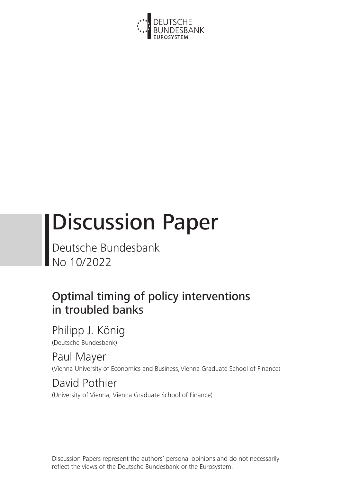

# Discussion Paper

Deutsche Bundesbank No 10/2022

# Optimal timing of policy interventions in troubled banks

Philipp J. König (Deutsche Bundesbank)

Paul Mayer (Vienna University of Economics and Business, Vienna Graduate School of Finance)

David Pothier (University of Vienna, Vienna Graduate School of Finance)

Discussion Papers represent the authors' personal opinions and do not necessarily reflect the views of the Deutsche Bundesbank or the Eurosystem.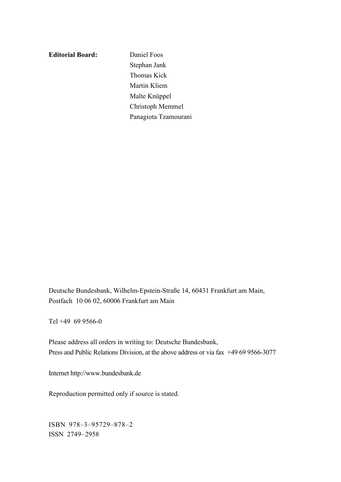**Editorial Board:** Daniel Foos

Stephan Jank Thomas Kick Martin Kliem Malte Knüppel Christoph Memmel Panagiota Tzamourani

Deutsche Bundesbank, Wilhelm-Epstein-Straße 14, 60431 Frankfurt am Main, Postfach 10 06 02, 60006 Frankfurt am Main

Tel +49 69 9566-0

Please address all orders in writing to: Deutsche Bundesbank, Press and Public Relations Division, at the above address or via fax +49 69 9566-3077

Internet http://www.bundesbank.de

Reproduction permitted only if source is stated.

ISBN 978–3–95729–878–2 ISSN 2749–2958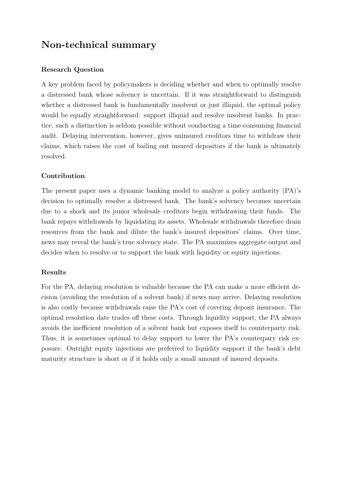# Non-technical summary

# Research Question

A key problem faced by policymakers is deciding whether and when to optimally resolve a distressed bank whose solvency is uncertain. If it was straightforward to distinguish whether a distressed bank is fundamentally insolvent or just illiquid, the optimal policy would be equally straightforward: support illiquid and resolve insolvent banks. In practice, such a distinction is seldom possible without conducting a time-consuming financial audit. Delaying intervention, however, gives uninsured creditors time to withdraw their claims, which raises the cost of bailing out insured depositors if the bank is ultimately resolved.

# Contribution

The present paper uses a dynamic banking model to analyze a policy authority (PA)'s decision to optimally resolve a distressed bank. The bank's solvency becomes uncertain due to a shock and its junior wholesale creditors begin withdrawing their funds. The bank repays withdrawals by liquidating its assets. Wholesale withdrawals therefore drain resources from the bank and dilute the bank's insured depositors' claims. Over time, news may reveal the bank's true solvency state. The PA maximizes aggregate output and decides when to resolve or to support the bank with liquidity or equity injections.

## Results

For the PA, delaying resolution is valuable because the PA can make a more efficient decision (avoiding the resolution of a solvent bank) if news may arrive. Delaying resolution is also costly because withdrawals raise the PA's cost of covering deposit insurance. The optimal resolution date trades off these costs. Through liquidity support, the PA always avoids the inefficient resolution of a solvent bank but exposes itself to counterparty risk. Thus, it is sometimes optimal to delay support to lower the PA's counterpary risk exposure. Outright equity injections are preferred to liquidity support if the bank's debt maturity structure is short or if it holds only a small amount of insured deposits.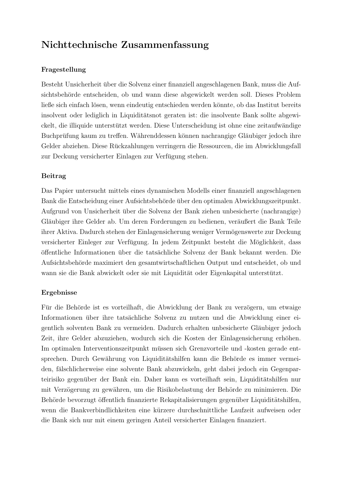# Nichttechnische Zusammenfassung

# Fragestellung

Besteht Unsicherheit über die Solvenz einer finanziell angeschlagenen Bank, muss die Aufsichtsbehörde entscheiden, ob und wann diese abgewickelt werden soll. Dieses Problem ließe sich einfach lösen, wenn eindeutig entschieden werden könnte, ob das Institut bereits insolvent oder lediglich in Liquiditätsnot geraten ist: die insolvente Bank sollte abgewickelt, die illiquide unterstützt werden. Diese Unterscheidung ist ohne eine zeitaufwändige Buchprüfung kaum zu treffen. Währenddessen können nachrangige Gläubiger jedoch ihre Gelder abziehen. Diese Ruckzahlungen verringern die Ressourcen, die im Abwicklungsfall ¨ zur Deckung versicherter Einlagen zur Verfügung stehen.

# Beitrag

Das Papier untersucht mittels eines dynamischen Modells einer finanziell angeschlagenen Bank die Entscheidung einer Aufsichtsbehörde über den optimalen Abwicklungszeitpunkt. Aufgrund von Unsicherheit uber die Solvenz der Bank ziehen unbesicherte (nachrangige) ¨ Gläubiger ihre Gelder ab. Um deren Forderungen zu bedienen, veräußert die Bank Teile ihrer Aktiva. Dadurch stehen der Einlagensicherung weniger Vermögenswerte zur Deckung versicherter Einleger zur Verfügung. In jedem Zeitpunkt besteht die Möglichkeit, dass öffentliche Informationen über die tatsächliche Solvenz der Bank bekannt werden. Die Aufsichtsbeh¨orde maximiert den gesamtwirtschaftlichen Output und entscheidet, ob und wann sie die Bank abwickelt oder sie mit Liquidität oder Eigenkapital unterstützt.

# Ergebnisse

Für die Behörde ist es vorteilhaft, die Abwicklung der Bank zu verzögern, um etwaige Informationen über ihre tatsächliche Solvenz zu nutzen und die Abwicklung einer eigentlich solventen Bank zu vermeiden. Dadurch erhalten unbesicherte Gläubiger jedoch Zeit, ihre Gelder abzuziehen, wodurch sich die Kosten der Einlagensicherung erhöhen. Im optimalen Interventionszeitpunkt müssen sich Grenzvorteile und -kosten gerade entsprechen. Durch Gewährung von Liquiditätshilfen kann die Behörde es immer vermeiden, fälschlicherweise eine solvente Bank abzuwickeln, geht dabei jedoch ein Gegenparteirisiko gegenüber der Bank ein. Daher kann es vorteilhaft sein, Liquiditätshilfen nur mit Verzögerung zu gewähren, um die Risikobelastung der Behörde zu minimieren. Die Behörde bevorzugt öffentlich finanzierte Rekapitalisierungen gegenüber Liquiditätshilfen, wenn die Bankverbindlichkeiten eine kürzere durchschnittliche Laufzeit aufweisen oder die Bank sich nur mit einem geringen Anteil versicherter Einlagen finanziert.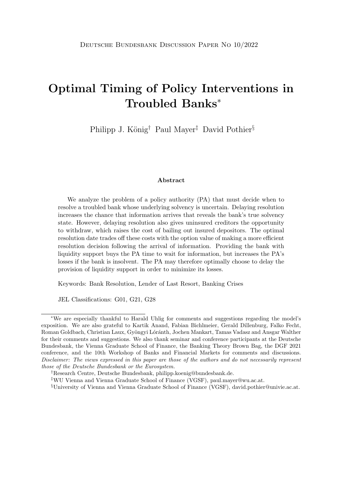# Optimal Timing of Policy Interventions in Troubled Banks<sup>∗</sup>

Philipp J. König<sup>†</sup> Paul Mayer<sup>‡</sup> David Pothier<sup>§</sup>

#### Abstract

We analyze the problem of a policy authority (PA) that must decide when to resolve a troubled bank whose underlying solvency is uncertain. Delaying resolution increases the chance that information arrives that reveals the bank's true solvency state. However, delaying resolution also gives uninsured creditors the opportunity to withdraw, which raises the cost of bailing out insured depositors. The optimal resolution date trades off these costs with the option value of making a more efficient resolution decision following the arrival of information. Providing the bank with liquidity support buys the PA time to wait for information, but increases the PA's losses if the bank is insolvent. The PA may therefore optimally choose to delay the provision of liquidity support in order to minimize its losses.

Keywords: Bank Resolution, Lender of Last Resort, Banking Crises

JEL Classifications: G01, G21, G28

§University of Vienna and Vienna Graduate School of Finance (VGSF), david.pothier@univie.ac.at.

<sup>∗</sup>We are especially thankful to Harald Uhlig for comments and suggestions regarding the model's exposition. We are also grateful to Kartik Anand, Fabian Bichlmeier, Gerald Dillenburg, Falko Fecht, Roman Goldbach, Christian Laux, Gyöngyi Lóránth, Jochen Mankart, Tamas Vadasz and Ansgar Walther for their comments and suggestions. We also thank seminar and conference participants at the Deutsche Bundesbank, the Vienna Graduate School of Finance, the Banking Theory Brown Bag, the DGF 2021 conference, and the 10th Workshop of Banks and Financial Markets for comments and discussions. Disclaimer: The views expressed in this paper are those of the authors and do not necessarily represent those of the Deutsche Bundesbank or the Eurosystem.

<sup>†</sup>Research Centre, Deutsche Bundesbank, philipp.koenig@bundesbank.de.

<sup>‡</sup>WU Vienna and Vienna Graduate School of Finance (VGSF), paul.mayer@wu.ac.at.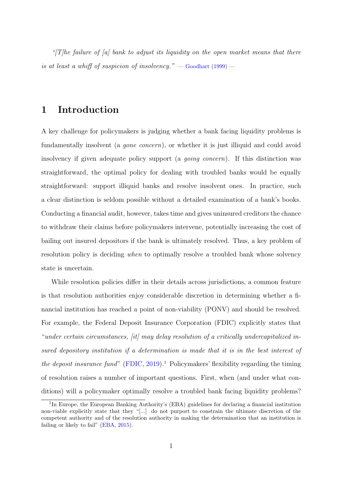"[T]he failure of [a] bank to adjust its liquidity on the open market means that there is at least a whift of suspicion of insolvency."  $-$  [Goodhart](#page-53-0) [\(1999\)](#page-53-0)  $-$ 

# 1 Introduction

A key challenge for policymakers is judging whether a bank facing liquidity problems is fundamentally insolvent (a *gone concern*), or whether it is just illiquid and could avoid insolvency if given adequate policy support (a *going concern*). If this distinction was straightforward, the optimal policy for dealing with troubled banks would be equally straightforward: support illiquid banks and resolve insolvent ones. In practice, such a clear distinction is seldom possible without a detailed examination of a bank's books. Conducting a financial audit, however, takes time and gives uninsured creditors the chance to withdraw their claims before policymakers intervene, potentially increasing the cost of bailing out insured depositors if the bank is ultimately resolved. Thus, a key problem of resolution policy is deciding *when* to optimally resolve a troubled bank whose solvency state is uncertain.

While resolution policies differ in their details across jurisdictions, a common feature is that resolution authorities enjoy considerable discretion in determining whether a financial institution has reached a point of non-viability (PONV) and should be resolved. For example, the Federal Deposit Insurance Corporation (FDIC) explicitly states that "under certain circumstances, [it] may delay resolution of a critically undercapitalized insured depository institution if a determination is made that it is in the best interest of the deposit insurance fund" [\(FDIC,](#page-53-1) [2019\)](#page-53-1).<sup>[1](#page--1-0)</sup> Policymakers' flexibility regarding the timing of resolution raises a number of important questions. First, when (and under what conditions) will a policymaker optimally resolve a troubled bank facing liquidity problems?

<sup>&</sup>lt;sup>1</sup>In Europe, the European Banking Authority's (EBA) guidelines for declaring a financial institution non-viable explicitly state that they "[...] do not purport to constrain the ultimate discretion of the competent authority and of the resolution authority in making the determination that an institution is failing or likely to fail" [\(EBA,](#page-53-2) [2015\)](#page-53-2).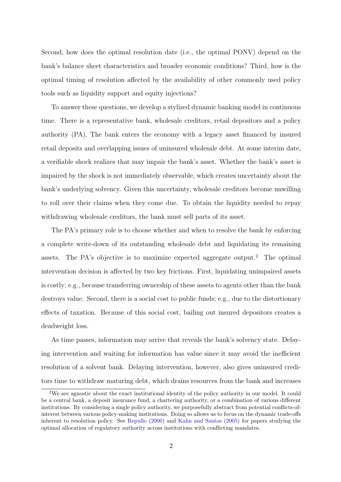Second, how does the optimal resolution date (i.e., the optimal PONV) depend on the bank's balance sheet characteristics and broader economic conditions? Third, how is the optimal timing of resolution affected by the availability of other commonly used policy tools such as liquidity support and equity injections?

To answer these questions, we develop a stylized dynamic banking model in continuous time. There is a representative bank, wholesale creditors, retail depositors and a policy authority (PA). The bank enters the economy with a legacy asset financed by insured retail deposits and overlapping issues of uninsured wholesale debt. At some interim date, a verifiable shock realizes that may impair the bank's asset. Whether the bank's asset is impaired by the shock is not immediately observable, which creates uncertainty about the bank's underlying solvency. Given this uncertainty, wholesale creditors become unwilling to roll over their claims when they come due. To obtain the liquidity needed to repay withdrawing wholesale creditors, the bank must sell parts of its asset.

The PA's primary role is to choose whether and when to resolve the bank by enforcing a complete write-down of its outstanding wholesale debt and liquidating its remaining assets. The PA's objective is to maximize expected aggregate output.<sup>[2](#page--1-0)</sup> The optimal intervention decision is affected by two key frictions. First, liquidating unimpaired assets is costly; e.g., because transferring ownership of these assets to agents other than the bank destroys value. Second, there is a social cost to public funds; e.g., due to the distortionary effects of taxation. Because of this social cost, bailing out insured depositors creates a deadweight loss.

As time passes, information may arrive that reveals the bank's solvency state. Delaying intervention and waiting for information has value since it may avoid the inefficient resolution of a solvent bank. Delaying intervention, however, also gives uninsured creditors time to withdraw maturing debt, which drains resources from the bank and increases

<sup>&</sup>lt;sup>2</sup>We are agnostic about the exact institutional identity of the policy authority in our model. It could be a central bank, a deposit insurance fund, a chartering authority, or a combination of various different institutions. By considering a single policy authority, we purposefully abstract from potential conflicts-ofinterest between various policy-making institutions. Doing so allows us to focus on the dynamic trade-offs inherent to resolution policy. See [Repullo](#page-54-0) [\(2000\)](#page-54-0) and [Kahn and Santos](#page-54-1) [\(2005\)](#page-54-1) for papers studying the optimal allocation of regulatory authority across institutions with conflicting mandates.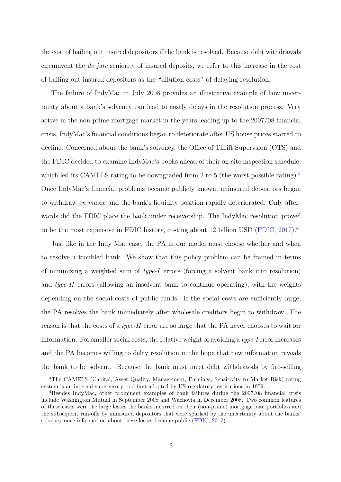the cost of bailing out insured depositors if the bank is resolved. Because debt withdrawals circumvent the de jure seniority of insured deposits, we refer to this increase in the cost of bailing out insured depositors as the "dilution costs" of delaying resolution.

The failure of IndyMac in July 2008 provides an illustrative example of how uncertainty about a bank's solvency can lead to costly delays in the resolution process. Very active in the non-prime mortgage market in the years leading up to the 2007/08 financial crisis, IndyMac's financial conditions began to deteriorate after US house prices started to decline. Concerned about the bank's solvency, the Office of Thrift Supervsion (OTS) and the FDIC decided to examine IndyMac's books ahead of their on-site inspection schedule, which led its CAMELS rating to be downgraded from 2 to 5 (the worst possible rating).<sup>[3](#page--1-0)</sup> Once IndyMac's financial problems became publicly known, uninsured depositors began to withdraw en masse and the bank's liquidity position rapidly deteriorated. Only afterwards did the FDIC place the bank under receivership. The IndyMac resolution proved to be the most expensive in FDIC history, costing about 12 billion USD [\(FDIC,](#page-53-3) [2017\)](#page-53-3).[4](#page--1-0)

Just like in the Indy Mac case, the PA in our model must choose whether and when to resolve a troubled bank. We show that this policy problem can be framed in terms of minimizing a weighted sum of type-I errors (forcing a solvent bank into resolution) and type-II errors (allowing an insolvent bank to continue operating), with the weights depending on the social costs of public funds. If the social costs are sufficiently large, the PA resolves the bank immediately after wholesale creditors begin to withdraw. The reason is that the costs of a type-II error are so large that the PA never chooses to wait for information. For smaller social costs, the relative weight of avoiding a type-I error increases and the PA becomes willing to delay resolution in the hope that new information reveals the bank to be solvent. Because the bank must meet debt withdrawals by fire-selling

<sup>3</sup>The CAMELS (Capital, Asset Quality, Management, Earnings, Sensitivity to Market Risk) rating system is an internal supervisory tool first adopted by US regulatory institutions in 1979.

<sup>4</sup>Besides IndyMac, other prominent examples of bank failures during the 2007/08 financial crisis include Washington Mutual in September 2008 and Wachovia in December 2008. Two common features of these cases were the large losses the banks incurred on their (non-prime) mortgage loan portfolios and the subsequent run-offs by uninsured depositors that were sparked by the uncertainty about the banks' solvency once information about these losses became public [\(FDIC,](#page-53-3) [2017\)](#page-53-3).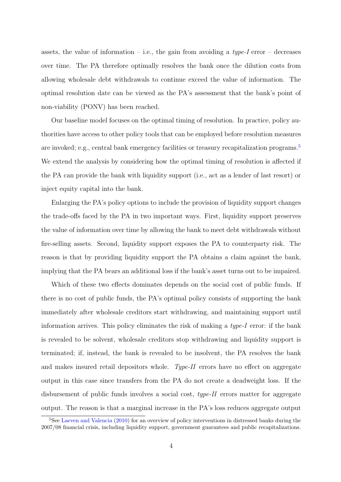assets, the value of information – i.e., the gain from avoiding a  $type-I$  error – decreases over time. The PA therefore optimally resolves the bank once the dilution costs from allowing wholesale debt withdrawals to continue exceed the value of information. The optimal resolution date can be viewed as the PA's assessment that the bank's point of non-viability (PONV) has been reached.

Our baseline model focuses on the optimal timing of resolution. In practice, policy authorities have access to other policy tools that can be employed before resolution measures are invoked; e.g., central bank emergency facilities or treasury recapitalization programs.[5](#page--1-0) We extend the analysis by considering how the optimal timing of resolution is affected if the PA can provide the bank with liquidity support (i.e., act as a lender of last resort) or inject equity capital into the bank.

Enlarging the PA's policy options to include the provision of liquidity support changes the trade-offs faced by the PA in two important ways. First, liquidity support preserves the value of information over time by allowing the bank to meet debt withdrawals without fire-selling assets. Second, liquidity support exposes the PA to counterparty risk. The reason is that by providing liquidity support the PA obtains a claim against the bank, implying that the PA bears an additional loss if the bank's asset turns out to be impaired.

Which of these two effects dominates depends on the social cost of public funds. If there is no cost of public funds, the PA's optimal policy consists of supporting the bank immediately after wholesale creditors start withdrawing, and maintaining support until information arrives. This policy eliminates the risk of making a type-I error: if the bank is revealed to be solvent, wholesale creditors stop withdrawing and liquidity support is terminated; if, instead, the bank is revealed to be insolvent, the PA resolves the bank and makes insured retail depositors whole. Type-II errors have no effect on aggregate output in this case since transfers from the PA do not create a deadweight loss. If the disbursement of public funds involves a social cost, type-II errors matter for aggregate output. The reason is that a marginal increase in the PA's loss reduces aggregate output

<sup>5</sup>See [Laeven and Valencia](#page-54-2) [\(2010\)](#page-54-2) for an overview of policy interventions in distressed banks during the 2007/08 financial crisis, including liquidity support, government guarantees and public recapitalizations.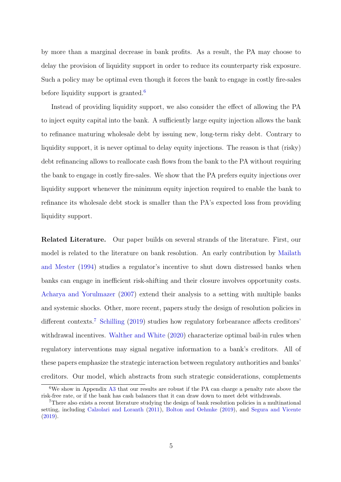by more than a marginal decrease in bank profits. As a result, the PA may choose to delay the provision of liquidity support in order to reduce its counterparty risk exposure. Such a policy may be optimal even though it forces the bank to engage in costly fire-sales before liquidity support is granted.<sup>[6](#page--1-0)</sup>

Instead of providing liquidity support, we also consider the effect of allowing the PA to inject equity capital into the bank. A sufficiently large equity injection allows the bank to refinance maturing wholesale debt by issuing new, long-term risky debt. Contrary to liquidity support, it is never optimal to delay equity injections. The reason is that (risky) debt refinancing allows to reallocate cash flows from the bank to the PA without requiring the bank to engage in costly fire-sales. We show that the PA prefers equity injections over liquidity support whenever the minimum equity injection required to enable the bank to refinance its wholesale debt stock is smaller than the PA's expected loss from providing liquidity support.

Related Literature. Our paper builds on several strands of the literature. First, our model is related to the literature on bank resolution. An early contribution by [Mailath](#page-54-3) [and Mester](#page-54-3) [\(1994\)](#page-54-3) studies a regulator's incentive to shut down distressed banks when banks can engage in inefficient risk-shifting and their closure involves opportunity costs. [Acharya and Yorulmazer](#page-52-0) [\(2007\)](#page-52-0) extend their analysis to a setting with multiple banks and systemic shocks. Other, more recent, papers study the design of resolution policies in different contexts.<sup>[7](#page--1-0)</sup> [Schilling](#page-55-0) [\(2019\)](#page-55-0) studies how regulatory forbearance affects creditors' withdrawal incentives. [Walther and White](#page-55-1) [\(2020\)](#page-55-1) characterize optimal bail-in rules when regulatory interventions may signal negative information to a bank's creditors. All of these papers emphasize the strategic interaction between regulatory authorities and banks' creditors. Our model, which abstracts from such strategic considerations, complements

 $6$ We show in Appendix [A3](#page-50-0) that our results are robust if the PA can charge a penalty rate above the risk-free rate, or if the bank has cash balances that it can draw down to meet debt withdrawals.

<sup>7</sup>There also exists a recent literature studying the design of bank resolution policies in a multinational setting, including [Calzolari and Loranth](#page-52-1) [\(2011\)](#page-52-1), [Bolton and Oehmke](#page-52-2) [\(2019\)](#page-52-2), and [Segura and Vicente](#page-55-2) [\(2019\)](#page-55-2).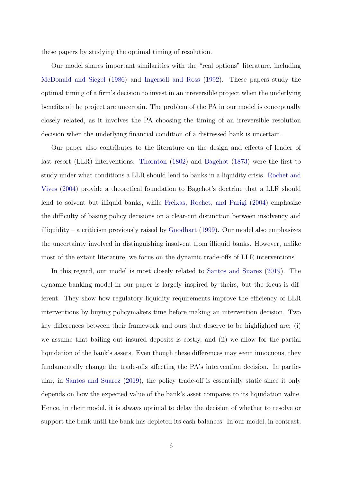these papers by studying the optimal timing of resolution.

Our model shares important similarities with the "real options" literature, including [McDonald and Siegel](#page-54-4) [\(1986\)](#page-54-4) and [Ingersoll and Ross](#page-54-5) [\(1992\)](#page-54-5). These papers study the optimal timing of a firm's decision to invest in an irreversible project when the underlying benefits of the project are uncertain. The problem of the PA in our model is conceptually closely related, as it involves the PA choosing the timing of an irreversible resolution decision when the underlying financial condition of a distressed bank is uncertain.

Our paper also contributes to the literature on the design and effects of lender of last resort (LLR) interventions. [Thornton](#page-55-3) [\(1802\)](#page-55-3) and [Bagehot](#page-52-3) [\(1873\)](#page-52-3) were the first to study under what conditions a LLR should lend to banks in a liquidity crisis. [Rochet and](#page-54-6) [Vives](#page-54-6) [\(2004\)](#page-54-6) provide a theoretical foundation to Bagehot's doctrine that a LLR should lend to solvent but illiquid banks, while [Freixas, Rochet, and Parigi](#page-53-4) [\(2004\)](#page-53-4) emphasize the difficulty of basing policy decisions on a clear-cut distinction between insolvency and illiquidity – a criticism previously raised by [Goodhart](#page-53-0)  $(1999)$ . Our model also emphasizes the uncertainty involved in distinguishing insolvent from illiquid banks. However, unlike most of the extant literature, we focus on the dynamic trade-offs of LLR interventions.

In this regard, our model is most closely related to [Santos and Suarez](#page-55-4) [\(2019\)](#page-55-4). The dynamic banking model in our paper is largely inspired by theirs, but the focus is different. They show how regulatory liquidity requirements improve the efficiency of LLR interventions by buying policymakers time before making an intervention decision. Two key differences between their framework and ours that deserve to be highlighted are: (i) we assume that bailing out insured deposits is costly, and (ii) we allow for the partial liquidation of the bank's assets. Even though these differences may seem innocuous, they fundamentally change the trade-offs affecting the PA's intervention decision. In particular, in [Santos and Suarez](#page-55-4) [\(2019\)](#page-55-4), the policy trade-off is essentially static since it only depends on how the expected value of the bank's asset compares to its liquidation value. Hence, in their model, it is always optimal to delay the decision of whether to resolve or support the bank until the bank has depleted its cash balances. In our model, in contrast,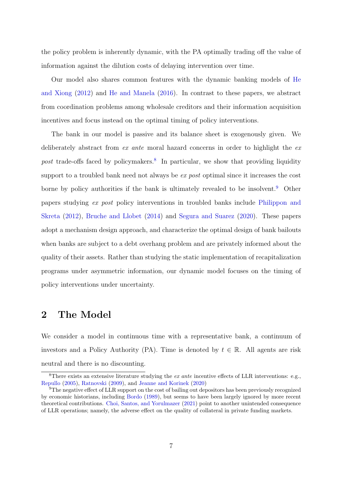the policy problem is inherently dynamic, with the PA optimally trading off the value of information against the dilution costs of delaying intervention over time.

Our model also shares common features with the dynamic banking models of [He](#page-53-5) [and Xiong](#page-53-5) [\(2012\)](#page-53-5) and [He and Manela](#page-53-6) [\(2016\)](#page-53-6). In contrast to these papers, we abstract from coordination problems among wholesale creditors and their information acquisition incentives and focus instead on the optimal timing of policy interventions.

The bank in our model is passive and its balance sheet is exogenously given. We deliberately abstract from ex ante moral hazard concerns in order to highlight the ex post trade-offs faced by policymakers.<sup>[8](#page--1-0)</sup> In particular, we show that providing liquidity support to a troubled bank need not always be *ex post* optimal since it increases the cost borne by policy authorities if the bank is ultimately revealed to be insolvent.<sup>[9](#page--1-0)</sup> Other papers studying ex post policy interventions in troubled banks include [Philippon and](#page-54-7) [Skreta](#page-54-7) [\(2012\)](#page-54-7), [Bruche and Llobet](#page-52-4) [\(2014\)](#page-52-4) and [Segura and Suarez](#page-55-5) [\(2020\)](#page-55-5). These papers adopt a mechanism design approach, and characterize the optimal design of bank bailouts when banks are subject to a debt overhang problem and are privately informed about the quality of their assets. Rather than studying the static implementation of recapitalization programs under asymmetric information, our dynamic model focuses on the timing of policy interventions under uncertainty.

# 2 The Model

We consider a model in continuous time with a representative bank, a continuum of investors and a Policy Authority (PA). Time is denoted by  $t \in \mathbb{R}$ . All agents are risk neutral and there is no discounting.

<sup>&</sup>lt;sup>8</sup>There exists an extensive literature studying the *ex ante* incentive effects of LLR interventions: e.g., [Repullo](#page-54-8) [\(2005\)](#page-54-8), [Ratnovski](#page-54-9) [\(2009\)](#page-54-9), and [Jeanne and Korinek](#page-54-10) [\(2020\)](#page-54-10)

<sup>&</sup>lt;sup>9</sup>The negative effect of LLR support on the cost of bailing out depositors has been previously recognized by economic historians, including [Bordo](#page-52-5) [\(1989\)](#page-52-5), but seems to have been largely ignored by more recent theoretical contributions. [Choi, Santos, and Yorulmazer](#page-53-7) [\(2021\)](#page-53-7) point to another unintended consequence of LLR operations; namely, the adverse effect on the quality of collateral in private funding markets.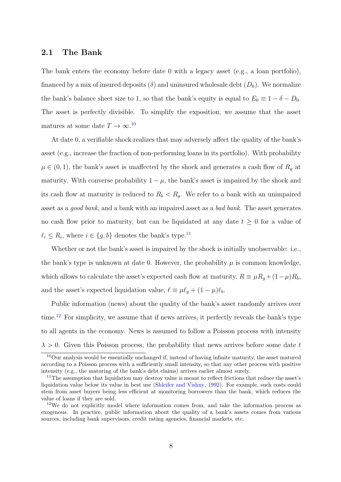#### 2.1 The Bank

The bank enters the economy before date 0 with a legacy asset (e.g., a loan portfolio), financed by a mix of insured deposits  $(\delta)$  and uninsured wholesale debt  $(D_0)$ . We normalize the bank's balance sheet size to 1, so that the bank's equity is equal to  $E_0 \equiv 1 - \delta - D_0$ . The asset is perfectly divisible. To simplify the exposition, we assume that the asset matures at some date  $T \to \infty$ .<sup>[10](#page--1-0)</sup>

At date 0, a verifiable shock realizes that may adversely affect the quality of the bank's asset (e.g., increase the fraction of non-performing loans in its portfolio). With probability  $\mu \in (0,1)$ , the bank's asset is unaffected by the shock and generates a cash flow of  $R_g$  at maturity. With converse probability  $1 - \mu$ , the bank's asset is impaired by the shock and its cash flow at maturity is reduced to  $R_b < R_g$ . We refer to a bank with an unimpaired asset as a good bank, and a bank with an impaired asset as a bad bank. The asset generates no cash flow prior to maturity, but can be liquidated at any date  $t \geq 0$  for a value of  $\ell_i \leq R_i$ , where  $i \in \{g, b\}$  denotes the bank's type.<sup>[11](#page--1-0)</sup>

Whether or not the bank's asset is impaired by the shock is initially unobservable: i.e., the bank's type is unknown at date 0. However, the probability  $\mu$  is common knowledge, which allows to calculate the asset's expected cash flow at maturity,  $R \equiv \mu R_q + (1-\mu)R_b$ , and the asset's expected liquidation value,  $\ell \equiv \mu \ell_q + (1 - \mu)\ell_b$ .

Public information (news) about the quality of the bank's asset randomly arrives over time.<sup>[12](#page--1-0)</sup> For simplicity, we assume that if news arrives, it perfectly reveals the bank's type to all agents in the economy. News is assumed to follow a Poisson process with intensity  $\lambda > 0$ . Given this Poisson process, the probability that news arrives before some date t

<sup>10</sup>Our analysis would be essentially unchanged if, instead of having infinite maturity, the asset matured according to a Poisson process with a sufficiently small intensity, so that any other process with positive intensity (e.g., the maturing of the bank's debt claims) arrives earlier almost surely.

<sup>&</sup>lt;sup>11</sup>The assumption that liquidation may destroy value is meant to reflect frictions that reduce the asset's liquidation value below its value in best use [\(Shleifer and Vishny,](#page-55-6) [1992\)](#page-55-6). For example, such costs could stem from asset buyers being less efficient at monitoring borrowers than the bank, which reduces the value of loans if they are sold.

 $12$ We do not explicitly model where information comes from, and take the information process as exogenous. In practice, public information about the quality of a bank's assets comes from various sources, including bank supervisors, credit rating agencies, financial markets, etc.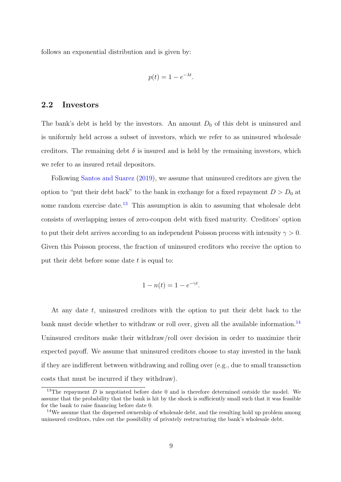follows an exponential distribution and is given by:

$$
p(t) = 1 - e^{-\lambda t}.
$$

#### 2.2 Investors

The bank's debt is held by the investors. An amount  $D_0$  of this debt is uninsured and is uniformly held across a subset of investors, which we refer to as uninsured wholesale creditors. The remaining debt  $\delta$  is insured and is held by the remaining investors, which we refer to as insured retail depositors.

Following [Santos and Suarez](#page-55-4) [\(2019\)](#page-55-4), we assume that uninsured creditors are given the option to "put their debt back" to the bank in exchange for a fixed repayment  $D > D_0$  at some random exercise date.<sup>[13](#page--1-0)</sup> This assumption is akin to assuming that wholesale debt consists of overlapping issues of zero-coupon debt with fixed maturity. Creditors' option to put their debt arrives according to an independent Poisson process with intensity  $\gamma > 0$ . Given this Poisson process, the fraction of uninsured creditors who receive the option to put their debt before some date  $t$  is equal to:

$$
1 - n(t) = 1 - e^{-\gamma t}.
$$

At any date t, uninsured creditors with the option to put their debt back to the bank must decide whether to withdraw or roll over, given all the available information.<sup>[14](#page--1-0)</sup> Uninsured creditors make their withdraw/roll over decision in order to maximize their expected payoff. We assume that uninsured creditors choose to stay invested in the bank if they are indifferent between withdrawing and rolling over (e.g., due to small transaction costs that must be incurred if they withdraw).

<sup>&</sup>lt;sup>13</sup>The repayment D is negotiated before date 0 and is therefore determined outside the model. We assume that the probability that the bank is hit by the shock is sufficiently small such that it was feasible for the bank to raise financing before date 0.

<sup>&</sup>lt;sup>14</sup>We assume that the dispersed ownership of wholesale debt, and the resulting hold up problem among uninsured creditors, rules out the possibility of privately restructuring the bank's wholesale debt.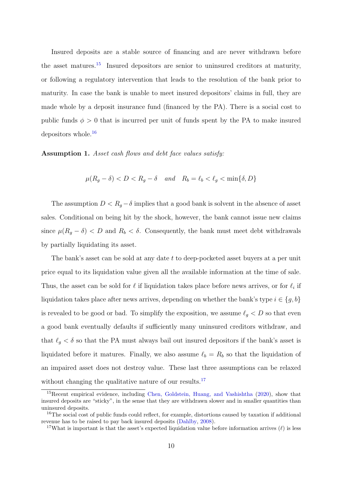Insured deposits are a stable source of financing and are never withdrawn before the asset matures.[15](#page--1-0) Insured depositors are senior to uninsured creditors at maturity, or following a regulatory intervention that leads to the resolution of the bank prior to maturity. In case the bank is unable to meet insured depositors' claims in full, they are made whole by a deposit insurance fund (financed by the PA). There is a social cost to public funds  $\phi > 0$  that is incurred per unit of funds spent by the PA to make insured depositors whole.[16](#page--1-0)

<span id="page-14-0"></span>Assumption 1. Asset cash flows and debt face values satisfy:

$$
\mu(R_g - \delta) < D < R_g - \delta \quad \text{and} \quad R_b = \ell_b < \ell_g < \min\{\delta, D\}
$$

The assumption  $D < R_g - \delta$  implies that a good bank is solvent in the absence of asset sales. Conditional on being hit by the shock, however, the bank cannot issue new claims since  $\mu(R_g - \delta) < D$  and  $R_b < \delta$ . Consequently, the bank must meet debt withdrawals by partially liquidating its asset.

The bank's asset can be sold at any date t to deep-pocketed asset buyers at a per unit price equal to its liquidation value given all the available information at the time of sale. Thus, the asset can be sold for  $\ell$  if liquidation takes place before news arrives, or for  $\ell_i$  if liquidation takes place after news arrives, depending on whether the bank's type  $i \in \{g, b\}$ is revealed to be good or bad. To simplify the exposition, we assume  $\ell_g < D$  so that even a good bank eventually defaults if sufficiently many uninsured creditors withdraw, and that  $\ell_q < \delta$  so that the PA must always bail out insured depositors if the bank's asset is liquidated before it matures. Finally, we also assume  $\ell_b = R_b$  so that the liquidation of an impaired asset does not destroy value. These last three assumptions can be relaxed without changing the qualitative nature of our results.<sup>[17](#page--1-0)</sup>

<sup>15</sup>Recent empirical evidence, including [Chen, Goldstein, Huang, and Vashishtha](#page-52-6) [\(2020\)](#page-52-6), show that insured deposits are "sticky", in the sense that they are withdrawn slower and in smaller quantities than uninsured deposits.

<sup>&</sup>lt;sup>16</sup>The social cost of public funds could reflect, for example, distortions caused by taxation if additional revenue has to be raised to pay back insured deposits [\(Dahlby,](#page-53-8) [2008\)](#page-53-8).

<sup>&</sup>lt;sup>17</sup>What is important is that the asset's expected liquidation value before information arrives ( $\ell$ ) is less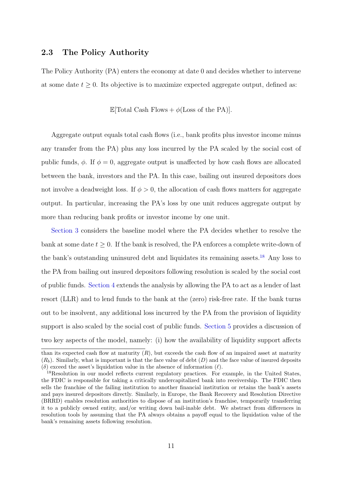#### 2.3 The Policy Authority

The Policy Authority (PA) enters the economy at date 0 and decides whether to intervene at some date  $t \geq 0$ . Its objective is to maximize expected aggregate output, defined as:

E[Total Cash Flows +  $\phi$ (Loss of the PA)].

Aggregate output equals total cash flows (i.e., bank profits plus investor income minus any transfer from the PA) plus any loss incurred by the PA scaled by the social cost of public funds,  $\phi$ . If  $\phi = 0$ , aggregate output is unaffected by how cash flows are allocated between the bank, investors and the PA. In this case, bailing out insured depositors does not involve a deadweight loss. If  $\phi > 0$ , the allocation of cash flows matters for aggregate output. In particular, increasing the PA's loss by one unit reduces aggregate output by more than reducing bank profits or investor income by one unit.

[Section 3](#page-16-0) considers the baseline model where the PA decides whether to resolve the bank at some date  $t \geq 0$ . If the bank is resolved, the PA enforces a complete write-down of the bank's outstanding uninsured debt and liquidates its remaining assets.<sup>[18](#page--1-0)</sup> Any loss to the PA from bailing out insured depositors following resolution is scaled by the social cost of public funds. [Section 4](#page-25-0) extends the analysis by allowing the PA to act as a lender of last resort (LLR) and to lend funds to the bank at the (zero) risk-free rate. If the bank turns out to be insolvent, any additional loss incurred by the PA from the provision of liquidity support is also scaled by the social cost of public funds. [Section 5](#page-31-0) provides a discussion of two key aspects of the model, namely: (i) how the availability of liquidity support affects

than its expected cash flow at maturity  $(R)$ , but exceeds the cash flow of an impaired asset at maturity  $(R_b)$ . Similarly, what is important is that the face value of debt  $(D)$  and the face value of insured deposits (δ) exceed the asset's liquidation value in the absence of information  $(\ell)$ .

<sup>&</sup>lt;sup>18</sup>Resolution in our model reflects current regulatory practices. For example, in the United States, the FDIC is responsible for taking a critically undercapitalized bank into receivership. The FDIC then sells the franchise of the failing institution to another financial institution or retains the bank's assets and pays insured depositors directly. Similarly, in Europe, the Bank Recovery and Resolution Directive (BRRD) enables resolution authorities to dispose of an institution's franchise, temporarily transferring it to a publicly owned entity, and/or writing down bail-inable debt. We abstract from differences in resolution tools by assuming that the PA always obtains a payoff equal to the liquidation value of the bank's remaining assets following resolution.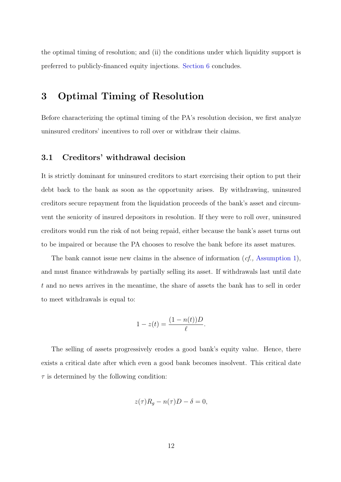the optimal timing of resolution; and (ii) the conditions under which liquidity support is preferred to publicly-financed equity injections. [Section 6](#page-35-0) concludes.

# <span id="page-16-0"></span>3 Optimal Timing of Resolution

Before characterizing the optimal timing of the PA's resolution decision, we first analyze uninsured creditors' incentives to roll over or withdraw their claims.

## 3.1 Creditors' withdrawal decision

It is strictly dominant for uninsured creditors to start exercising their option to put their debt back to the bank as soon as the opportunity arises. By withdrawing, uninsured creditors secure repayment from the liquidation proceeds of the bank's asset and circumvent the seniority of insured depositors in resolution. If they were to roll over, uninsured creditors would run the risk of not being repaid, either because the bank's asset turns out to be impaired or because the PA chooses to resolve the bank before its asset matures.

The bank cannot issue new claims in the absence of information  $(cf.,$  [Assumption 1\)](#page-14-0), and must finance withdrawals by partially selling its asset. If withdrawals last until date t and no news arrives in the meantime, the share of assets the bank has to sell in order to meet withdrawals is equal to:

$$
1 - z(t) = \frac{(1 - n(t))D}{\ell}.
$$

The selling of assets progressively erodes a good bank's equity value. Hence, there exists a critical date after which even a good bank becomes insolvent. This critical date  $\tau$  is determined by the following condition:

$$
z(\tau)R_g - n(\tau)D - \delta = 0,
$$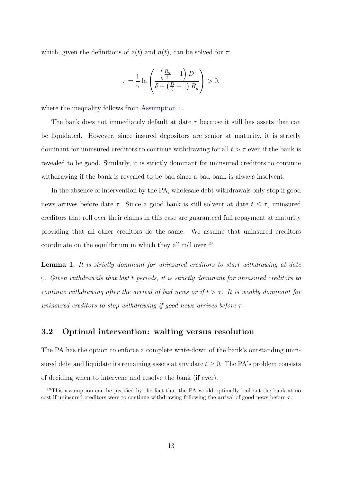which, given the definitions of  $z(t)$  and  $n(t)$ , can be solved for  $\tau$ :

$$
\tau = \frac{1}{\gamma} \ln \left( \frac{\left( \frac{R_g}{\ell} - 1 \right) D}{\delta + \left( \frac{D}{\ell} - 1 \right) R_g} \right) > 0,
$$

where the inequality follows from [Assumption 1.](#page-14-0)

The bank does not immediately default at date  $\tau$  because it still has assets that can be liquidated. However, since insured depositors are senior at maturity, it is strictly dominant for uninsured creditors to continue withdrawing for all  $t > \tau$  even if the bank is revealed to be good. Similarly, it is strictly dominant for uninsured creditors to continue withdrawing if the bank is revealed to be bad since a bad bank is always insolvent.

In the absence of intervention by the PA, wholesale debt withdrawals only stop if good news arrives before date  $\tau$ . Since a good bank is still solvent at date  $t \leq \tau$ , uninsured creditors that roll over their claims in this case are guaranteed full repayment at maturity providing that all other creditors do the same. We assume that uninsured creditors coordinate on the equilibrium in which they all roll over.<sup>[19](#page--1-0)</sup>

<span id="page-17-0"></span>Lemma 1. It is strictly dominant for uninsured creditors to start withdrawing at date 0. Given withdrawals that last t periods, it is strictly dominant for uninsured creditors to continue withdrawing after the arrival of bad news or if  $t > \tau$ . It is weakly dominant for uninsured creditors to stop withdrawing if good news arrives before  $\tau$ .

# 3.2 Optimal intervention: waiting versus resolution

The PA has the option to enforce a complete write-down of the bank's outstanding uninsured debt and liquidate its remaining assets at any date  $t \geq 0$ . The PA's problem consists of deciding when to intervene and resolve the bank (if ever).

<sup>&</sup>lt;sup>19</sup>This assumption can be justified by the fact that the PA would optimally bail out the bank at no cost if uninsured creditors were to continue withdrawing following the arrival of good news before  $\tau$ .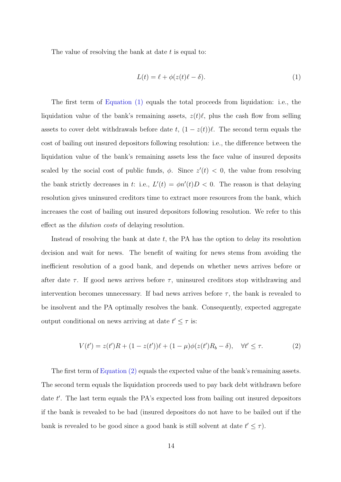The value of resolving the bank at date  $t$  is equal to:

<span id="page-18-0"></span>
$$
L(t) = \ell + \phi(z(t)\ell - \delta). \tag{1}
$$

The first term of [Equation \(1\)](#page-18-0) equals the total proceeds from liquidation: i.e., the liquidation value of the bank's remaining assets,  $z(t)\ell$ , plus the cash flow from selling assets to cover debt withdrawals before date  $t$ ,  $(1 - z(t))\ell$ . The second term equals the cost of bailing out insured depositors following resolution: i.e., the difference between the liquidation value of the bank's remaining assets less the face value of insured deposits scaled by the social cost of public funds,  $\phi$ . Since  $z'(t) < 0$ , the value from resolving the bank strictly decreases in t: i.e.,  $L'(t) = \phi n'(t)D < 0$ . The reason is that delaying resolution gives uninsured creditors time to extract more resources from the bank, which increases the cost of bailing out insured depositors following resolution. We refer to this effect as the dilution costs of delaying resolution.

Instead of resolving the bank at date  $t$ , the PA has the option to delay its resolution decision and wait for news. The benefit of waiting for news stems from avoiding the inefficient resolution of a good bank, and depends on whether news arrives before or after date  $\tau$ . If good news arrives before  $\tau$ , uninsured creditors stop withdrawing and intervention becomes unnecessary. If bad news arrives before  $\tau$ , the bank is revealed to be insolvent and the PA optimally resolves the bank. Consequently, expected aggregate output conditional on news arriving at date  $t' \leq \tau$  is:

<span id="page-18-1"></span>
$$
V(t') = z(t')R + (1 - z(t'))\ell + (1 - \mu)\phi(z(t')R_b - \delta), \quad \forall t' \le \tau.
$$
 (2)

The first term of [Equation \(2\)](#page-18-1) equals the expected value of the bank's remaining assets. The second term equals the liquidation proceeds used to pay back debt withdrawn before date t'. The last term equals the PA's expected loss from bailing out insured depositors if the bank is revealed to be bad (insured depositors do not have to be bailed out if the bank is revealed to be good since a good bank is still solvent at date  $t' \leq \tau$ ).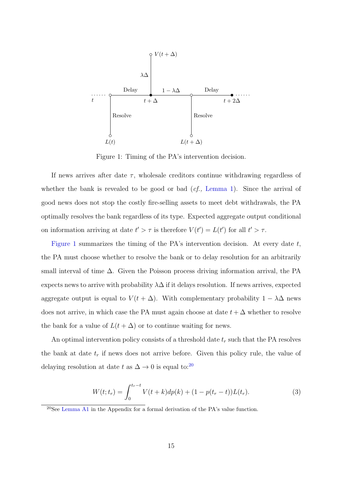<span id="page-19-0"></span>

Figure 1: Timing of the PA's intervention decision.

If news arrives after date  $\tau$ , wholesale creditors continue withdrawing regardless of whether the bank is revealed to be good or bad  $(cf.$ , [Lemma 1\)](#page-17-0). Since the arrival of good news does not stop the costly fire-selling assets to meet debt withdrawals, the PA optimally resolves the bank regardless of its type. Expected aggregate output conditional on information arriving at date  $t' > \tau$  is therefore  $V(t') = L(t')$  for all  $t' > \tau$ .

[Figure 1](#page-19-0) summarizes the timing of the PA's intervention decision. At every date  $t$ , the PA must choose whether to resolve the bank or to delay resolution for an arbitrarily small interval of time  $\Delta$ . Given the Poisson process driving information arrival, the PA expects news to arrive with probability  $\lambda\Delta$  if it delays resolution. If news arrives, expected aggregate output is equal to  $V(t + \Delta)$ . With complementary probability  $1 - \lambda \Delta$  news does not arrive, in which case the PA must again choose at date  $t + \Delta$  whether to resolve the bank for a value of  $L(t + \Delta)$  or to continue waiting for news.

An optimal intervention policy consists of a threshold date  $t_r$  such that the PA resolves the bank at date  $t_r$  if news does not arrive before. Given this policy rule, the value of delaying resolution at date t as  $\Delta \to 0$  is equal to:<sup>[20](#page--1-0)</sup>

<span id="page-19-1"></span>
$$
W(t; t_r) = \int_0^{t_r - t} V(t + k) dp(k) + (1 - p(t_r - t)) L(t_r).
$$
 (3)

<sup>20</sup>See [Lemma A1](#page-17-0) in the Appendix for a formal derivation of the PA's value function.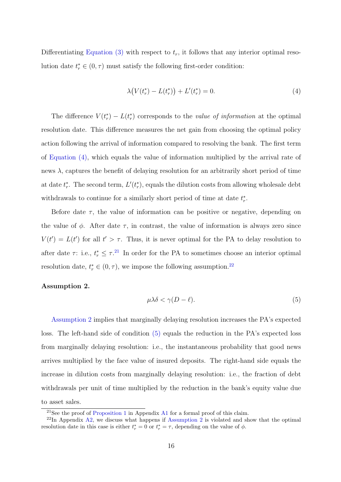Differentiating [Equation \(3\)](#page-19-1) with respect to  $t_r$ , it follows that any interior optimal resolution date  $t_r^* \in (0, \tau)$  must satisfy the following first-order condition:

<span id="page-20-0"></span>
$$
\lambda \big( V(t_r^*) - L(t_r^*) \big) + L'(t_r^*) = 0. \tag{4}
$$

The difference  $V(t_r^*) - L(t_r^*)$  corresponds to the value of information at the optimal resolution date. This difference measures the net gain from choosing the optimal policy action following the arrival of information compared to resolving the bank. The first term of [Equation \(4\),](#page-20-0) which equals the value of information multiplied by the arrival rate of news  $\lambda$ , captures the benefit of delaying resolution for an arbitrarily short period of time at date  $t_r^*$ . The second term,  $L'(t_r^*)$ , equals the dilution costs from allowing wholesale debt withdrawals to continue for a similarly short period of time at date  $t_r^*$ .

Before date  $\tau$ , the value of information can be positive or negative, depending on the value of  $\phi$ . After date  $\tau$ , in contrast, the value of information is always zero since  $V(t') = L(t')$  for all  $t' > \tau$ . Thus, it is never optimal for the PA to delay resolution to after date  $\tau$ : i.e.,  $t_r^* \leq \tau$ .<sup>[21](#page--1-0)</sup> In order for the PA to sometimes choose an interior optimal resolution date,  $t_r^* \in (0, \tau)$ , we impose the following assumption.<sup>[22](#page--1-0)</sup>

#### <span id="page-20-2"></span><span id="page-20-1"></span>Assumption 2.

$$
\mu \lambda \delta < \gamma (D - \ell). \tag{5}
$$

[Assumption 2](#page-20-1) implies that marginally delaying resolution increases the PA's expected loss. The left-hand side of condition [\(5\)](#page-20-2) equals the reduction in the PA's expected loss from marginally delaying resolution: i.e., the instantaneous probability that good news arrives multiplied by the face value of insured deposits. The right-hand side equals the increase in dilution costs from marginally delaying resolution: i.e., the fraction of debt withdrawals per unit of time multiplied by the reduction in the bank's equity value due to asset sales.

<sup>&</sup>lt;sup>21</sup>See the proof of [Proposition 1](#page-21-0) in Appendix [A1](#page-36-0) for a formal proof of this claim.

 $^{22}$ In Appendix [A2,](#page-49-0) we discuss what happens if [Assumption 2](#page-20-1) is violated and show that the optimal resolution date in this case is either  $t_r^* = 0$  or  $t_r^* = \tau$ , depending on the value of  $\phi$ .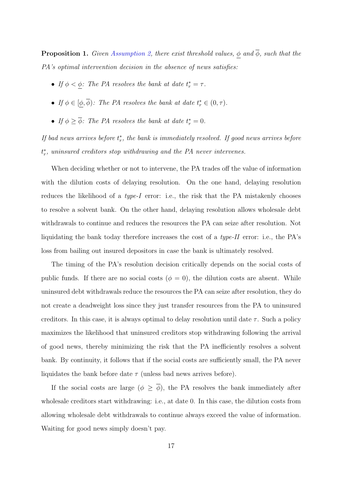<span id="page-21-0"></span>**Proposition 1.** Given [Assumption 2,](#page-20-1) there exist threshold values,  $\phi$  and  $\overline{\phi}$ , such that the PA's optimal intervention decision in the absence of news satisfies:

- If  $\phi < \underline{\phi}$ : The PA resolves the bank at date  $t_r^* = \tau$ .
- If  $\phi \in [\phi, \overline{\phi})$ : The PA resolves the bank at date  $t_r^* \in (0, \tau)$ .
- If  $\phi \geq \overline{\phi}$ : The PA resolves the bank at date  $t_r^* = 0$ .

If bad news arrives before  $t_r^*$ , the bank is immediately resolved. If good news arrives before  $t_r^*$ , uninsured creditors stop withdrawing and the PA never intervenes.

When deciding whether or not to intervene, the PA trades off the value of information with the dilution costs of delaying resolution. On the one hand, delaying resolution reduces the likelihood of a type-I error: i.e., the risk that the PA mistakenly chooses to resolve a solvent bank. On the other hand, delaying resolution allows wholesale debt withdrawals to continue and reduces the resources the PA can seize after resolution. Not liquidating the bank today therefore increases the cost of a  $type-II$  error: i.e., the PA's loss from bailing out insured depositors in case the bank is ultimately resolved.

The timing of the PA's resolution decision critically depends on the social costs of public funds. If there are no social costs ( $\phi = 0$ ), the dilution costs are absent. While uninsured debt withdrawals reduce the resources the PA can seize after resolution, they do not create a deadweight loss since they just transfer resources from the PA to uninsured creditors. In this case, it is always optimal to delay resolution until date  $\tau$ . Such a policy maximizes the likelihood that uninsured creditors stop withdrawing following the arrival of good news, thereby minimizing the risk that the PA inefficiently resolves a solvent bank. By continuity, it follows that if the social costs are sufficiently small, the PA never liquidates the bank before date  $\tau$  (unless bad news arrives before).

If the social costs are large  $(\phi \geq \overline{\phi})$ , the PA resolves the bank immediately after wholesale creditors start withdrawing: i.e., at date 0. In this case, the dilution costs from allowing wholesale debt withdrawals to continue always exceed the value of information. Waiting for good news simply doesn't pay.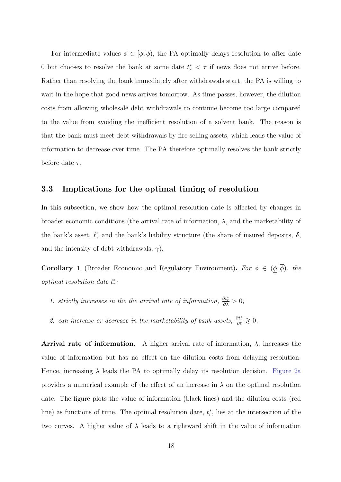For intermediate values  $\phi \in [\underline{\phi}, \overline{\phi})$ , the PA optimally delays resolution to after date 0 but chooses to resolve the bank at some date  $t_r^* < \tau$  if news does not arrive before. Rather than resolving the bank immediately after withdrawals start, the PA is willing to wait in the hope that good news arrives tomorrow. As time passes, however, the dilution costs from allowing wholesale debt withdrawals to continue become too large compared to the value from avoiding the inefficient resolution of a solvent bank. The reason is that the bank must meet debt withdrawals by fire-selling assets, which leads the value of information to decrease over time. The PA therefore optimally resolves the bank strictly before date  $\tau$ .

## 3.3 Implications for the optimal timing of resolution

In this subsection, we show how the optimal resolution date is affected by changes in broader economic conditions (the arrival rate of information,  $\lambda$ , and the marketability of the bank's asset,  $\ell$ ) and the bank's liability structure (the share of insured deposits,  $\delta$ , and the intensity of debt withdrawals,  $\gamma$ ).

<span id="page-22-0"></span>**Corollary 1** (Broader Economic and Regulatory Environment). For  $\phi \in (\underline{\phi}, \overline{\phi})$ , the optimal resolution date  $t_r^*$ :

- 1. strictly increases in the the arrival rate of information,  $\frac{\partial t_r^*}{\partial \lambda} > 0$ ;
- 2. can increase or decrease in the marketability of bank assets,  $\frac{\partial t^*}{\partial \ell} \geq 0$ .

**Arrival rate of information.** A higher arrival rate of information,  $\lambda$ , increases the value of information but has no effect on the dilution costs from delaying resolution. Hence, increasing  $\lambda$  leads the PA to optimally delay its resolution decision. [Figure 2a](#page-24-0) provides a numerical example of the effect of an increase in  $\lambda$  on the optimal resolution date. The figure plots the value of information (black lines) and the dilution costs (red line) as functions of time. The optimal resolution date,  $t_r^*$ , lies at the intersection of the two curves. A higher value of  $\lambda$  leads to a rightward shift in the value of information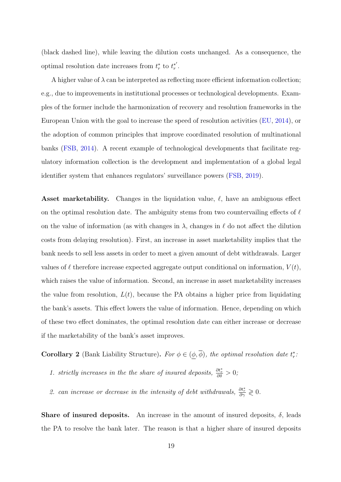(black dashed line), while leaving the dilution costs unchanged. As a consequence, the optimal resolution date increases from  $t_r^*$  to  $t_r^{*'}$  $\frac{'}{r}$ .

A higher value of  $\lambda$  can be interpreted as reflecting more efficient information collection; e.g., due to improvements in institutional processes or technological developments. Examples of the former include the harmonization of recovery and resolution frameworks in the European Union with the goal to increase the speed of resolution activities [\(EU,](#page-53-9) [2014\)](#page-53-9), or the adoption of common principles that improve coordinated resolution of multinational banks [\(FSB,](#page-53-10) [2014\)](#page-53-10). A recent example of technological developments that facilitate regulatory information collection is the development and implementation of a global legal identifier system that enhances regulators' surveillance powers [\(FSB,](#page-53-11) [2019\)](#page-53-11).

Asset marketability. Changes in the liquidation value,  $\ell$ , have an ambiguous effect on the optimal resolution date. The ambiguity stems from two countervailing effects of  $\ell$ on the value of information (as with changes in  $\lambda$ , changes in  $\ell$  do not affect the dilution costs from delaying resolution). First, an increase in asset marketability implies that the bank needs to sell less assets in order to meet a given amount of debt withdrawals. Larger values of  $\ell$  therefore increase expected aggregate output conditional on information,  $V(t)$ , which raises the value of information. Second, an increase in asset marketability increases the value from resolution,  $L(t)$ , because the PA obtains a higher price from liquidating the bank's assets. This effect lowers the value of information. Hence, depending on which of these two effect dominates, the optimal resolution date can either increase or decrease if the marketability of the bank's asset improves.

<span id="page-23-0"></span>**Corollary 2** (Bank Liability Structure). For  $\phi \in (\underline{\phi}, \overline{\phi})$ , the optimal resolution date  $t_r^*$ .

- 1. strictly increases in the the share of insured deposits,  $\frac{\partial t_r^*}{\partial \delta} > 0$ ;
- 2. can increase or decrease in the intensity of debt withdrawals,  $\frac{\partial t_r^*}{\partial \gamma} \geq 0$ .

**Share of insured deposits.** An increase in the amount of insured deposits,  $\delta$ , leads the PA to resolve the bank later. The reason is that a higher share of insured deposits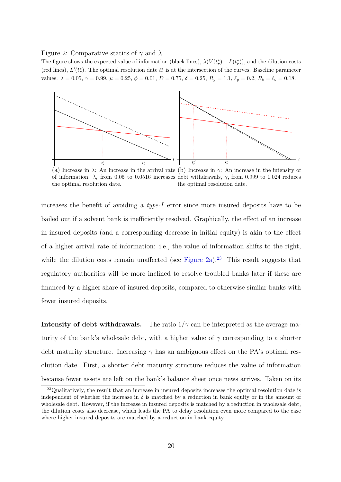<span id="page-24-0"></span>Figure 2: Comparative statics of  $\gamma$  and  $\lambda$ .

The figure shows the expected value of information (black lines),  $\lambda(V(t_r^*) - L(t_r^*))$ , and the dilution costs (red lines),  $L'(t_r^*)$ . The optimal resolution date  $t_r^*$  is at the intersection of the curves. Baseline parameter values:  $\lambda = 0.05$ ,  $\gamma = 0.99$ ,  $\mu = 0.25$ ,  $\phi = 0.01$ ,  $D = 0.75$ ,  $\delta = 0.25$ ,  $R_g = 1.1$ ,  $\ell_g = 0.2$ ,  $R_b = \ell_b = 0.18$ .



(a) Increase in  $\lambda$ : An increase in the arrival rate (b) Increase in  $\gamma$ : An increase in the intensity of of information,  $\lambda$ , from 0.05 to 0.0516 increases debt withdrawals,  $\gamma$ , from 0.999 to 1.024 reduces the optimal resolution date. the optimal resolution date.

increases the benefit of avoiding a type-I error since more insured deposits have to be bailed out if a solvent bank is inefficiently resolved. Graphically, the effect of an increase in insured deposits (and a corresponding decrease in initial equity) is akin to the effect of a higher arrival rate of information: i.e., the value of information shifts to the right, while the dilution costs remain unaffected (see [Figure 2a\)](#page-24-0).<sup>[23](#page--1-0)</sup> This result suggests that regulatory authorities will be more inclined to resolve troubled banks later if these are financed by a higher share of insured deposits, compared to otherwise similar banks with fewer insured deposits.

Intensity of debt withdrawals. The ratio  $1/\gamma$  can be interpreted as the average maturity of the bank's wholesale debt, with a higher value of  $\gamma$  corresponding to a shorter debt maturity structure. Increasing  $\gamma$  has an ambiguous effect on the PA's optimal resolution date. First, a shorter debt maturity structure reduces the value of information because fewer assets are left on the bank's balance sheet once news arrives. Taken on its

<sup>&</sup>lt;sup>23</sup>Qualitatively, the result that an increase in insured deposits increases the optimal resolution date is independent of whether the increase in  $\delta$  is matched by a reduction in bank equity or in the amount of wholesale debt. However, if the increase in insured deposits is matched by a reduction in wholesale debt, the dilution costs also decrease, which leads the PA to delay resolution even more compared to the case where higher insured deposits are matched by a reduction in bank equity.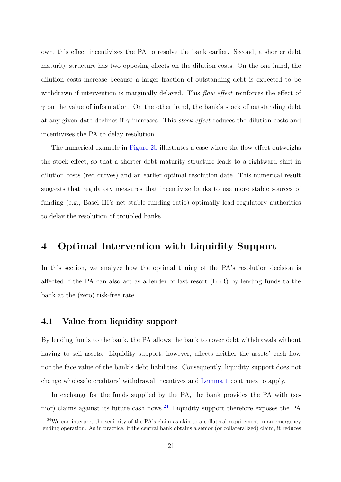own, this effect incentivizes the PA to resolve the bank earlier. Second, a shorter debt maturity structure has two opposing effects on the dilution costs. On the one hand, the dilution costs increase because a larger fraction of outstanding debt is expected to be withdrawn if intervention is marginally delayed. This *flow effect* reinforces the effect of  $\gamma$  on the value of information. On the other hand, the bank's stock of outstanding debt at any given date declines if  $\gamma$  increases. This *stock effect* reduces the dilution costs and incentivizes the PA to delay resolution.

The numerical example in [Figure 2b](#page-24-0) illustrates a case where the flow effect outweighs the stock effect, so that a shorter debt maturity structure leads to a rightward shift in dilution costs (red curves) and an earlier optimal resolution date. This numerical result suggests that regulatory measures that incentivize banks to use more stable sources of funding (e.g., Basel III's net stable funding ratio) optimally lead regulatory authorities to delay the resolution of troubled banks.

# <span id="page-25-0"></span>4 Optimal Intervention with Liquidity Support

In this section, we analyze how the optimal timing of the PA's resolution decision is affected if the PA can also act as a lender of last resort (LLR) by lending funds to the bank at the (zero) risk-free rate.

## 4.1 Value from liquidity support

By lending funds to the bank, the PA allows the bank to cover debt withdrawals without having to sell assets. Liquidity support, however, affects neither the assets' cash flow nor the face value of the bank's debt liabilities. Consequently, liquidity support does not change wholesale creditors' withdrawal incentives and [Lemma 1](#page-17-0) continues to apply.

In exchange for the funds supplied by the PA, the bank provides the PA with (senior) claims against its future cash flows.[24](#page--1-0) Liquidity support therefore exposes the PA

 $24$ We can interpret the seniority of the PA's claim as akin to a collateral requirement in an emergency lending operation. As in practice, if the central bank obtains a senior (or collateralized) claim, it reduces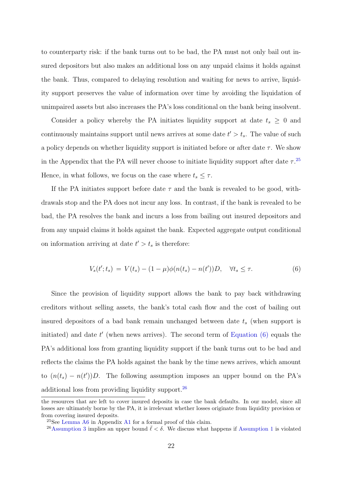to counterparty risk: if the bank turns out to be bad, the PA must not only bail out insured depositors but also makes an additional loss on any unpaid claims it holds against the bank. Thus, compared to delaying resolution and waiting for news to arrive, liquidity support preserves the value of information over time by avoiding the liquidation of unimpaired assets but also increases the PA's loss conditional on the bank being insolvent.

Consider a policy whereby the PA initiates liquidity support at date  $t_s \geq 0$  and continuously maintains support until news arrives at some date  $t' > t_s$ . The value of such a policy depends on whether liquidity support is initiated before or after date  $\tau$ . We show in the Appendix that the PA will never choose to initiate liquidity support after date  $\tau$ .<sup>[25](#page--1-0)</sup> Hence, in what follows, we focus on the case where  $t_s \leq \tau$ .

If the PA initiates support before date  $\tau$  and the bank is revealed to be good, withdrawals stop and the PA does not incur any loss. In contrast, if the bank is revealed to be bad, the PA resolves the bank and incurs a loss from bailing out insured depositors and from any unpaid claims it holds against the bank. Expected aggregate output conditional on information arriving at date  $t' > t_s$  is therefore:

<span id="page-26-0"></span>
$$
V_s(t'; t_s) = V(t_s) - (1 - \mu)\phi(n(t_s) - n(t'))D, \quad \forall t_s \le \tau.
$$
 (6)

Since the provision of liquidity support allows the bank to pay back withdrawing creditors without selling assets, the bank's total cash flow and the cost of bailing out insured depositors of a bad bank remain unchanged between date  $t_s$  (when support is initiated) and date  $t'$  (when news arrives). The second term of Equation  $(6)$  equals the PA's additional loss from granting liquidity support if the bank turns out to be bad and reflects the claims the PA holds against the bank by the time news arrives, which amount to  $(n(t<sub>s</sub>) - n(t'))D$ . The following assumption imposes an upper bound on the PA's additional loss from providing liquidity support.[26](#page--1-0)

the resources that are left to cover insured deposits in case the bank defaults. In our model, since all losses are ultimately borne by the PA, it is irrelevant whether losses originate from liquidity provision or from covering insured deposits.

<sup>&</sup>lt;sup>25</sup>See [Lemma A6](#page-41-0) in Appendix [A1](#page-36-0) for a formal proof of this claim.

<sup>&</sup>lt;sup>26</sup>[Assumption 3](#page-27-0) implies an upper bound  $\bar{\ell} < \delta$ . We discuss what happens if [Assumption 1](#page-14-0) is violated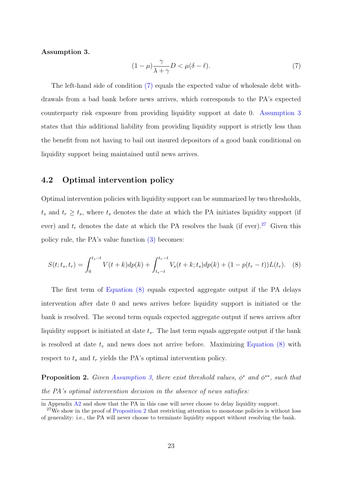#### <span id="page-27-1"></span><span id="page-27-0"></span>Assumption 3.

$$
(1 - \mu) \frac{\gamma}{\lambda + \gamma} D < \mu(\delta - \ell). \tag{7}
$$

The left-hand side of condition [\(7\)](#page-27-1) equals the expected value of wholesale debt withdrawals from a bad bank before news arrives, which corresponds to the PA's expected counterparty risk exposure from providing liquidity support at date 0. [Assumption 3](#page-27-0) states that this additional liability from providing liquidity support is strictly less than the benefit from not having to bail out insured depositors of a good bank conditional on liquidity support being maintained until news arrives.

# 4.2 Optimal intervention policy

Optimal intervention policies with liquidity support can be summarized by two thresholds,  $t_s$  and  $t_r \geq t_s$ , where  $t_s$  denotes the date at which the PA initiates liquidity support (if ever) and  $t_r$  denotes the date at which the PA resolves the bank (if ever).<sup>[27](#page--1-0)</sup> Given this policy rule, the PA's value function [\(3\)](#page-19-1) becomes:

<span id="page-27-2"></span>
$$
S(t; t_s, t_r) = \int_0^{t_s - t} V(t + k) dp(k) + \int_{t_s - t}^{t_r - t} V_s(t + k; t_s) dp(k) + (1 - p(t_r - t)) L(t_r).
$$
 (8)

The first term of [Equation \(8\)](#page-27-2) equals expected aggregate output if the PA delays intervention after date 0 and news arrives before liquidity support is initiated or the bank is resolved. The second term equals expected aggregate output if news arrives after liquidity support is initiated at date  $t_s$ . The last term equals aggregate output if the bank is resolved at date  $t_r$  and news does not arrive before. Maximizing [Equation \(8\)](#page-27-2) with respect to  $t_s$  and  $t_r$  yields the PA's optimal intervention policy.

<span id="page-27-3"></span>**Proposition 2.** Given [Assumption 3,](#page-27-0) there exist threshold values,  $\phi^*$  and  $\phi^{**}$ , such that the PA's optimal intervention decision in the absence of news satisfies:

in Appendix [A2](#page-49-0) and show that the PA in this case will never choose to delay liquidity support.

 $27$ We show in the proof of [Proposition 2](#page-27-3) that restricting attention to monotone policies is without loss of generality: i.e., the PA will never choose to terminate liquidity support without resolving the bank.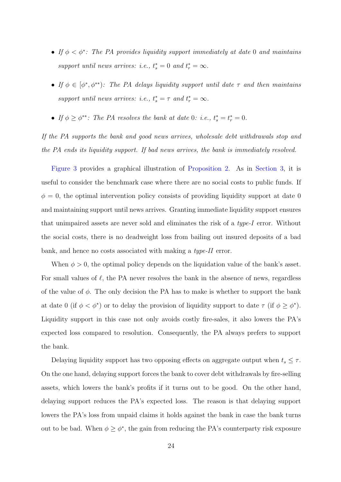- If  $\phi < \phi^*$ : The PA provides liquidity support immediately at date 0 and maintains support until news arrives: i.e.,  $t_s^* = 0$  and  $t_r^* = \infty$ .
- If  $\phi \in [\phi^*, \phi^{**})$ : The PA delays liquidity support until date  $\tau$  and then maintains support until news arrives: i.e.,  $t_s^* = \tau$  and  $t_r^* = \infty$ .
- If  $\phi \geq \phi^{**}$ : The PA resolves the bank at date 0: i.e.,  $t_s^* = t_r^* = 0$ .

If the PA supports the bank and good news arrives, wholesale debt withdrawals stop and the PA ends its liquidity support. If bad news arrives, the bank is immediately resolved.

[Figure 3](#page-29-0) provides a graphical illustration of [Proposition 2.](#page-27-3) As in [Section 3,](#page-16-0) it is useful to consider the benchmark case where there are no social costs to public funds. If  $\phi = 0$ , the optimal intervention policy consists of providing liquidity support at date 0 and maintaining support until news arrives. Granting immediate liquidity support ensures that unimpaired assets are never sold and eliminates the risk of a type-I error. Without the social costs, there is no deadweight loss from bailing out insured deposits of a bad bank, and hence no costs associated with making a type-II error.

When  $\phi > 0$ , the optimal policy depends on the liquidation value of the bank's asset. For small values of  $\ell$ , the PA never resolves the bank in the absence of news, regardless of the value of  $\phi$ . The only decision the PA has to make is whether to support the bank at date 0 (if  $\phi < \phi^*$ ) or to delay the provision of liquidity support to date  $\tau$  (if  $\phi \geq \phi^*$ ). Liquidity support in this case not only avoids costly fire-sales, it also lowers the PA's expected loss compared to resolution. Consequently, the PA always prefers to support the bank.

Delaying liquidity support has two opposing effects on aggregate output when  $t_s \leq \tau$ . On the one hand, delaying support forces the bank to cover debt withdrawals by fire-selling assets, which lowers the bank's profits if it turns out to be good. On the other hand, delaying support reduces the PA's expected loss. The reason is that delaying support lowers the PA's loss from unpaid claims it holds against the bank in case the bank turns out to be bad. When  $\phi \geq \phi^*$ , the gain from reducing the PA's counterparty risk exposure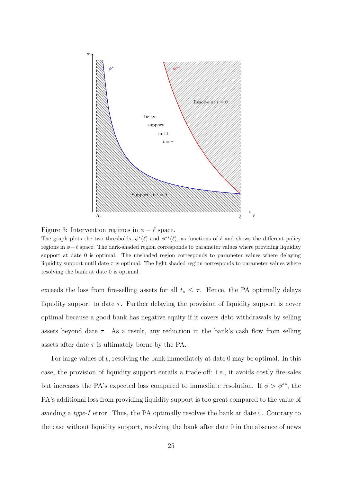<span id="page-29-0"></span>



The graph plots the two thresholds,  $\phi^*(\ell)$  and  $\phi^{**}(\ell)$ , as functions of  $\ell$  and shows the different policy regions in  $\phi-\ell$  space. The dark-shaded region corresponds to parameter values where providing liquidity support at date 0 is optimal. The unshaded region corresponds to parameter values where delaying liquidity support until date  $\tau$  is optimal. The light shaded region corresponds to parameter values where resolving the bank at date 0 is optimal.

exceeds the loss from fire-selling assets for all  $t_s \leq \tau$ . Hence, the PA optimally delays liquidity support to date  $\tau$ . Further delaying the provision of liquidity support is never optimal because a good bank has negative equity if it covers debt withdrawals by selling assets beyond date  $\tau$ . As a result, any reduction in the bank's cash flow from selling assets after date  $\tau$  is ultimately borne by the PA.

For large values of  $\ell$ , resolving the bank immediately at date 0 may be optimal. In this case, the provision of liquidity support entails a trade-off: i.e., it avoids costly fire-sales but increases the PA's expected loss compared to immediate resolution. If  $\phi > \phi^{**}$ , the PA's additional loss from providing liquidity support is too great compared to the value of avoiding a type-I error. Thus, the PA optimally resolves the bank at date 0. Contrary to the case without liquidity support, resolving the bank after date 0 in the absence of news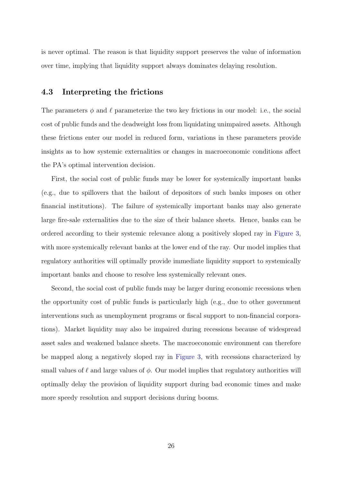is never optimal. The reason is that liquidity support preserves the value of information over time, implying that liquidity support always dominates delaying resolution.

# 4.3 Interpreting the frictions

The parameters  $\phi$  and  $\ell$  parameterize the two key frictions in our model: i.e., the social cost of public funds and the deadweight loss from liquidating unimpaired assets. Although these frictions enter our model in reduced form, variations in these parameters provide insights as to how systemic externalities or changes in macroeconomic conditions affect the PA's optimal intervention decision.

First, the social cost of public funds may be lower for systemically important banks (e.g., due to spillovers that the bailout of depositors of such banks imposes on other financial institutions). The failure of systemically important banks may also generate large fire-sale externalities due to the size of their balance sheets. Hence, banks can be ordered according to their systemic relevance along a positively sloped ray in [Figure 3,](#page-29-0) with more systemically relevant banks at the lower end of the ray. Our model implies that regulatory authorities will optimally provide immediate liquidity support to systemically important banks and choose to resolve less systemically relevant ones.

Second, the social cost of public funds may be larger during economic recessions when the opportunity cost of public funds is particularly high (e.g., due to other government interventions such as unemployment programs or fiscal support to non-financial corporations). Market liquidity may also be impaired during recessions because of widespread asset sales and weakened balance sheets. The macroeconomic environment can therefore be mapped along a negatively sloped ray in [Figure 3,](#page-29-0) with recessions characterized by small values of  $\ell$  and large values of  $\phi$ . Our model implies that regulatory authorities will optimally delay the provision of liquidity support during bad economic times and make more speedy resolution and support decisions during booms.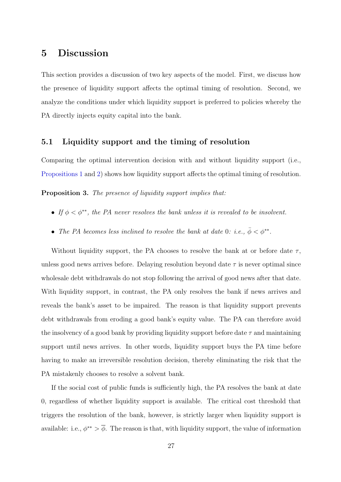# <span id="page-31-0"></span>5 Discussion

This section provides a discussion of two key aspects of the model. First, we discuss how the presence of liquidity support affects the optimal timing of resolution. Second, we analyze the conditions under which liquidity support is preferred to policies whereby the PA directly injects equity capital into the bank.

## 5.1 Liquidity support and the timing of resolution

Comparing the optimal intervention decision with and without liquidity support (i.e., [Propositions 1](#page-21-0) and [2\)](#page-27-3) shows how liquidity support affects the optimal timing of resolution.

<span id="page-31-1"></span>Proposition 3. The presence of liquidity support implies that:

- If  $\phi < \phi^{**}$ , the PA never resolves the bank unless it is revealed to be insolvent.
- The PA becomes less inclined to resolve the bank at date 0: i.e.,  $\bar{\phi} < \phi^{**}$ .

Without liquidity support, the PA chooses to resolve the bank at or before date  $\tau$ , unless good news arrives before. Delaying resolution beyond date  $\tau$  is never optimal since wholesale debt withdrawals do not stop following the arrival of good news after that date. With liquidity support, in contrast, the PA only resolves the bank if news arrives and reveals the bank's asset to be impaired. The reason is that liquidity support prevents debt withdrawals from eroding a good bank's equity value. The PA can therefore avoid the insolvency of a good bank by providing liquidity support before date  $\tau$  and maintaining support until news arrives. In other words, liquidity support buys the PA time before having to make an irreversible resolution decision, thereby eliminating the risk that the PA mistakenly chooses to resolve a solvent bank.

If the social cost of public funds is sufficiently high, the PA resolves the bank at date 0, regardless of whether liquidity support is available. The critical cost threshold that triggers the resolution of the bank, however, is strictly larger when liquidity support is available: i.e.,  $\phi^{**} > \overline{\phi}$ . The reason is that, with liquidity support, the value of information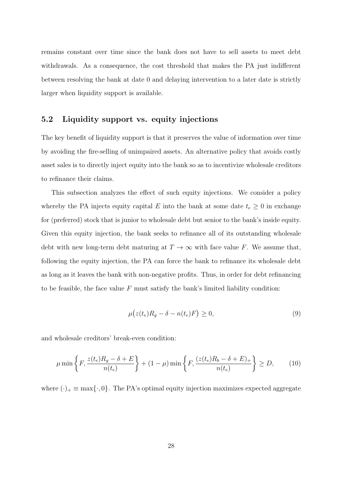remains constant over time since the bank does not have to sell assets to meet debt withdrawals. As a consequence, the cost threshold that makes the PA just indifferent between resolving the bank at date 0 and delaying intervention to a later date is strictly larger when liquidity support is available.

# 5.2 Liquidity support vs. equity injections

The key benefit of liquidity support is that it preserves the value of information over time by avoiding the fire-selling of unimpaired assets. An alternative policy that avoids costly asset sales is to directly inject equity into the bank so as to incentivize wholesale creditors to refinance their claims.

This subsection analyzes the effect of such equity injections. We consider a policy whereby the PA injects equity capital E into the bank at some date  $t_e \geq 0$  in exchange for (preferred) stock that is junior to wholesale debt but senior to the bank's inside equity. Given this equity injection, the bank seeks to refinance all of its outstanding wholesale debt with new long-term debt maturing at  $T \to \infty$  with face value F. We assume that, following the equity injection, the PA can force the bank to refinance its wholesale debt as long as it leaves the bank with non-negative profits. Thus, in order for debt refinancing to be feasible, the face value  $F$  must satisfy the bank's limited liability condition:

<span id="page-32-1"></span><span id="page-32-0"></span>
$$
\mu(z(t_e)R_g - \delta - n(t_e)F) \ge 0,\tag{9}
$$

and wholesale creditors' break-even condition:

$$
\mu \min \left\{ F, \frac{z(t_e)R_g - \delta + E}{n(t_e)} \right\} + (1 - \mu) \min \left\{ F, \frac{(z(t_e)R_b - \delta + E)_+}{n(t_e)} \right\} \ge D, \tag{10}
$$

where  $(\cdot)_+ \equiv \max{\{\cdot, 0\}}$ . The PA's optimal equity injection maximizes expected aggregate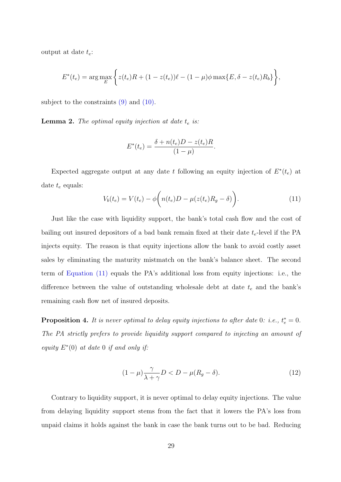output at date  $t_e$ :

$$
E^*(t_e) = \arg \max_E \left\{ z(t_e)R + (1 - z(t_e))\ell - (1 - \mu)\phi \max\{E, \delta - z(t_e)R_b\} \right\},\,
$$

subject to the constraints  $(9)$  and  $(10)$ .

<span id="page-33-2"></span>**Lemma 2.** The optimal equity injection at date  $t_e$  is:

$$
E^*(t_e) = \frac{\delta + n(t_e)D - z(t_e)R}{(1 - \mu)}.
$$

Expected aggregate output at any date t following an equity injection of  $E^*(t_e)$  at date  $t_e$  equals:

<span id="page-33-0"></span>
$$
V_b(t_e) = V(t_e) - \phi \bigg( n(t_e)D - \mu(z(t_e)R_g - \delta) \bigg). \tag{11}
$$

Just like the case with liquidity support, the bank's total cash flow and the cost of bailing out insured depositors of a bad bank remain fixed at their date  $t_e$ -level if the PA injects equity. The reason is that equity injections allow the bank to avoid costly asset sales by eliminating the maturity mistmatch on the bank's balance sheet. The second term of [Equation \(11\)](#page-33-0) equals the PA's additional loss from equity injections: i.e., the difference between the value of outstanding wholesale debt at date  $t_e$  and the bank's remaining cash flow net of insured deposits.

<span id="page-33-3"></span>**Proposition 4.** It is never optimal to delay equity injections to after date 0: i.e.,  $t_e^* = 0$ . The PA strictly prefers to provide liquidity support compared to injecting an amount of equity  $E^*(0)$  at date 0 if and only if:

<span id="page-33-1"></span>
$$
(1 - \mu) \frac{\gamma}{\lambda + \gamma} D < D - \mu (R_g - \delta). \tag{12}
$$

Contrary to liquidity support, it is never optimal to delay equity injections. The value from delaying liquidity support stems from the fact that it lowers the PA's loss from unpaid claims it holds against the bank in case the bank turns out to be bad. Reducing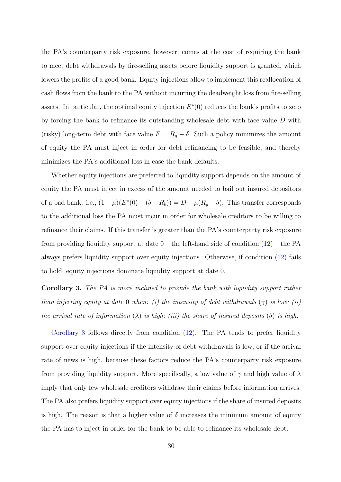the PA's counterparty risk exposure, however, comes at the cost of requiring the bank to meet debt withdrawals by fire-selling assets before liquidity support is granted, which lowers the profits of a good bank. Equity injections allow to implement this reallocation of cash flows from the bank to the PA without incurring the deadweight loss from fire-selling assets. In particular, the optimal equity injection  $E^*(0)$  reduces the bank's profits to zero by forcing the bank to refinance its outstanding wholesale debt with face value D with (risky) long-term debt with face value  $F = R_g - \delta$ . Such a policy minimizes the amount of equity the PA must inject in order for debt refinancing to be feasible, and thereby minimizes the PA's additional loss in case the bank defaults.

Whether equity injections are preferred to liquidity support depends on the amount of equity the PA must inject in excess of the amount needed to bail out insured depositors of a bad bank: i.e.,  $(1 - \mu)(E^*(0) - (\delta - R_b)) = D - \mu(R_g - \delta)$ . This transfer corresponds to the additional loss the PA must incur in order for wholesale creditors to be willing to refinance their claims. If this transfer is greater than the PA's counterparty risk exposure from providing liquidity support at date  $0$  – the left-hand side of condition  $(12)$  – the PA always prefers liquidity support over equity injections. Otherwise, if condition [\(12\)](#page-33-1) fails to hold, equity injections dominate liquidity support at date 0.

<span id="page-34-0"></span>Corollary 3. The PA is more inclined to provide the bank with liquidity support rather than injecting equity at date 0 when: (i) the intensity of debt withdrawals  $(\gamma)$  is low; (ii) the arrival rate of information  $(\lambda)$  is high; (iii) the share of insured deposits  $(\delta)$  is high.

[Corollary 3](#page-34-0) follows directly from condition [\(12\).](#page-33-1) The PA tends to prefer liquidity support over equity injections if the intensity of debt withdrawals is low, or if the arrival rate of news is high, because these factors reduce the PA's counterparty risk exposure from providing liquidity support. More specifically, a low value of  $\gamma$  and high value of  $\lambda$ imply that only few wholesale creditors withdraw their claims before information arrives. The PA also prefers liquidity support over equity injections if the share of insured deposits is high. The reason is that a higher value of  $\delta$  increases the minimum amount of equity the PA has to inject in order for the bank to be able to refinance its wholesale debt.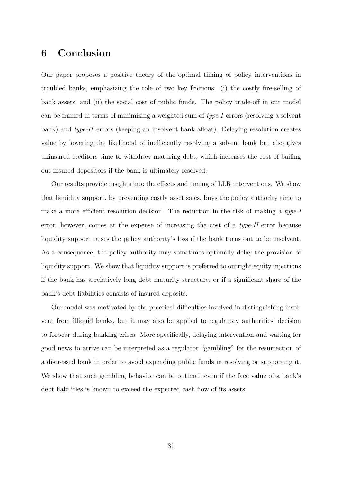# <span id="page-35-0"></span>6 Conclusion

Our paper proposes a positive theory of the optimal timing of policy interventions in troubled banks, emphasizing the role of two key frictions: (i) the costly fire-selling of bank assets, and (ii) the social cost of public funds. The policy trade-off in our model can be framed in terms of minimizing a weighted sum of type-I errors (resolving a solvent bank) and type-II errors (keeping an insolvent bank afloat). Delaying resolution creates value by lowering the likelihood of inefficiently resolving a solvent bank but also gives uninsured creditors time to withdraw maturing debt, which increases the cost of bailing out insured depositors if the bank is ultimately resolved.

Our results provide insights into the effects and timing of LLR interventions. We show that liquidity support, by preventing costly asset sales, buys the policy authority time to make a more efficient resolution decision. The reduction in the risk of making a type-I error, however, comes at the expense of increasing the cost of a type-II error because liquidity support raises the policy authority's loss if the bank turns out to be insolvent. As a consequence, the policy authority may sometimes optimally delay the provision of liquidity support. We show that liquidity support is preferred to outright equity injections if the bank has a relatively long debt maturity structure, or if a significant share of the bank's debt liabilities consists of insured deposits.

Our model was motivated by the practical difficulties involved in distinguishing insolvent from illiquid banks, but it may also be applied to regulatory authorities' decision to forbear during banking crises. More specifically, delaying intervention and waiting for good news to arrive can be interpreted as a regulator "gambling" for the resurrection of a distressed bank in order to avoid expending public funds in resolving or supporting it. We show that such gambling behavior can be optimal, even if the face value of a bank's debt liabilities is known to exceed the expected cash flow of its assets.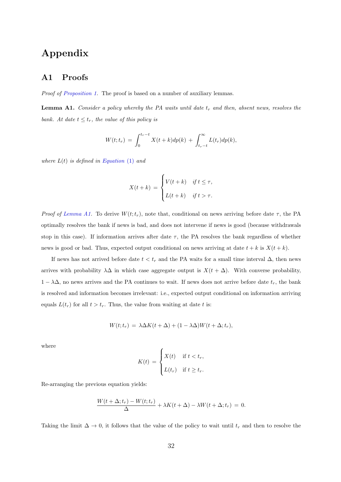# Appendix

# <span id="page-36-0"></span>A1 Proofs

Proof of [Proposition 1.](#page-21-0) The proof is based on a number of auxiliary lemmas.

**Lemma A1.** Consider a policy whereby the PA waits until date  $t_r$  and then, absent news, resolves the bank. At date  $t \leq t_r$ , the value of this policy is

$$
W(t; t_r) = \int_0^{t_r - t} X(t + k) dp(k) + \int_{t_r - t}^{\infty} L(t_r) dp(k),
$$

where  $L(t)$  is defined in [Equation](#page-18-0) (1) and

$$
X(t+k) = \begin{cases} V(t+k) & \text{if } t \leq \tau, \\ L(t+k) & \text{if } t > \tau. \end{cases}
$$

Proof of [Lemma A1.](#page-17-0) To derive  $W(t; t_r)$ , note that, conditional on news arriving before date  $\tau$ , the PA optimally resolves the bank if news is bad, and does not intervene if news is good (because withdrawals stop in this case). If information arrives after date  $\tau$ , the PA resolves the bank regardless of whether news is good or bad. Thus, expected output conditional on news arriving at date  $t + k$  is  $X(t + k)$ .

If news has not arrived before date  $t < t_r$  and the PA waits for a small time interval  $\Delta$ , then news arrives with probability  $\lambda\Delta$  in which case aggregate output is  $X(t + \Delta)$ . With converse probability,  $1 - \lambda \Delta$ , no news arrives and the PA continues to wait. If news does not arrive before date  $t_r$ , the bank is resolved and information becomes irrelevant: i.e., expected output conditional on information arriving equals  $L(t_r)$  for all  $t > t_r$ . Thus, the value from waiting at date t is:

$$
W(t; t_r) = \lambda \Delta K(t + \Delta) + (1 - \lambda \Delta)W(t + \Delta; t_r),
$$

where

$$
K(t) = \begin{cases} X(t) & \text{if } t < t_r, \\ L(t_r) & \text{if } t \ge t_r. \end{cases}
$$

Re-arranging the previous equation yields:

$$
\frac{W(t+\Delta; t_r) - W(t; t_r)}{\Delta} + \lambda K(t+\Delta) - \lambda W(t+\Delta; t_r) = 0.
$$

Taking the limit  $\Delta \to 0$ , it follows that the value of the policy to wait until  $t_r$  and then to resolve the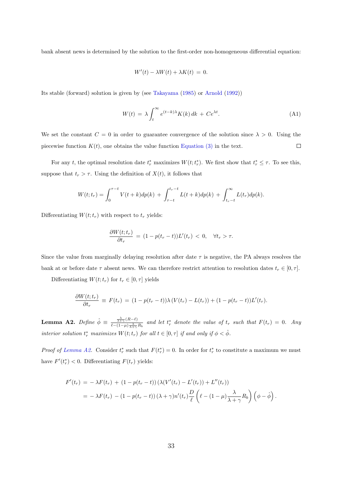bank absent news is determined by the solution to the first-order non-homogeneous differential equation:

$$
W'(t) - \lambda W(t) + \lambda K(t) = 0.
$$

Its stable (forward) solution is given by (see [Takayama](#page-55-7) [\(1985\)](#page-55-7) or [Arnold](#page-52-7) [\(1992\)](#page-52-7))

$$
W(t) = \lambda \int_{t}^{\infty} e^{(t-k)\lambda} K(k) dk + Ce^{\lambda t}.
$$
 (A1)

We set the constant  $C = 0$  in order to guarantee convergence of the solution since  $\lambda > 0$ . Using the piecewise function  $K(t)$ , one obtains the value function [Equation \(3\)](#page-19-1) in the text.  $\Box$ 

For any t, the optimal resolution date  $t_r^*$  maximizes  $W(t; t_r^*)$ . We first show that  $t_r^* \leq \tau$ . To see this, suppose that  $t_r > \tau$ . Using the definition of  $X(t)$ , it follows that

$$
W(t; t_r) = \int_0^{\tau - t} V(t + k) dp(k) + \int_{\tau - t}^{t_r - t} L(t + k) dp(k) + \int_{t_r - t}^{\infty} L(t_r) dp(k).
$$

Differentiating  $W(t;t_r)$  with respect to  $t_r$  yields:

$$
\frac{\partial W(t; t_r)}{\partial t_r} = (1 - p(t_r - t))L'(t_r) < 0, \quad \forall t_r > \tau.
$$

Since the value from marginally delaying resolution after date  $\tau$  is negative, the PA always resolves the bank at or before date  $\tau$  absent news. We can therefore restrict attention to resolution dates  $t_r \in [0, \tau]$ .

Differentiating  $W(t; t_r)$  for  $t_r \in [0, \tau]$  yields

$$
\frac{\partial W(t;t_r)}{\partial t_r} \equiv F(t_r) = (1 - p(t_r - t))\lambda (V(t_r) - L(t_r)) + (1 - p(t_r - t))L'(t_r).
$$

**Lemma A2.** Define  $\hat{\phi} \equiv \frac{\lambda}{\phi} \frac{(R-\ell)}{(1-\mu)^2}$  $\frac{\frac{1}{\lambda+\gamma}(h-t)}{\ell-(1-\mu)\frac{\lambda}{\lambda+\gamma}R_b}$  and let  $t_r^*$  denote the value of  $t_r$  such that  $F(t_r) = 0$ . Any interior solution  $t_r^*$  maximizes  $W(t; t_r)$  for all  $t \in [0, \tau]$  if and only if  $\phi < \hat{\phi}$ .

*Proof of [Lemma A2.](#page-33-2)* Consider  $t_r^*$  such that  $F(t_r^*) = 0$ . In order for  $t_r^*$  to constitute a maximum we must have  $F'(t_r^*) < 0$ . Differentiating  $F(t_r)$  yields:

$$
F'(t_r) = -\lambda F(t_r) + (1 - p(t_r - t)) (\lambda (V'(t_r) - L'(t_r)) + L''(t_r))
$$
  
= 
$$
-\lambda F(t_r) - (1 - p(t_r - t)) (\lambda + \gamma) n'(t_r) \frac{D}{\ell} \left( \ell - (1 - \mu) \frac{\lambda}{\lambda + \gamma} R_b \right) \left( \phi - \hat{\phi} \right).
$$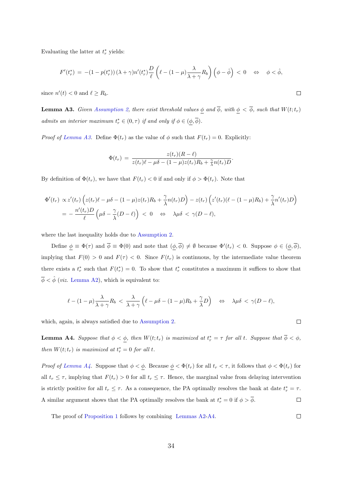Evaluating the latter at  $t_r^*$  yields:

$$
F'(t_r^*) = -(1 - p(t_r^*))\left(\lambda + \gamma\right)n'(t_r^*)\frac{D}{\ell}\left(\ell - (1 - \mu)\frac{\lambda}{\lambda + \gamma}R_b\right)\left(\phi - \hat{\phi}\right) < 0 \quad \Leftrightarrow \quad \phi < \hat{\phi},
$$

since  $n'(t) < 0$  and  $\ell \geq R_b$ .

<span id="page-38-0"></span>**Lemma A3.** Given [Assumption 2,](#page-20-1) there exist threshold values  $\phi$  and  $\overline{\phi}$ , with  $\phi < \overline{\phi}$ , such that  $W(t; t_r)$ admits an interior maximum  $t_r^* \in (0, \tau)$  if and only if  $\phi \in (\underline{\phi}, \overline{\phi})$ .

*Proof of [Lemma A3.](#page-38-0)* Define  $\Phi(t_r)$  as the value of  $\phi$  such that  $F(t_r) = 0$ . Explicitly:

$$
\Phi(t_r) = \frac{z(t_r)(R-\ell)}{z(t_r)\ell - \mu\delta - (1-\mu)z(t_r)R_b + \frac{\gamma}{\lambda}n(t_r)D}.
$$

By definition of  $\Phi(t_r)$ , we have that  $F(t_r) < 0$  if and only if  $\phi > \Phi(t_r)$ . Note that

$$
\Phi'(t_r) \propto z'(t_r) \left( z(t_r) \ell - \mu \delta - (1 - \mu) z(t_r) R_b + \frac{\gamma}{\lambda} n(t_r) D \right) - z(t_r) \left( z'(t_r) (\ell - (1 - \mu) R_b) + \frac{\gamma}{\lambda} n'(t_r) D \right)
$$
\n
$$
= -\frac{n'(t_r) D}{\ell} \left( \mu \delta - \frac{\gamma}{\lambda} (D - \ell) \right) < 0 \quad \Leftrightarrow \quad \lambda \mu \delta < \gamma (D - \ell),
$$

where the last inequality holds due to [Assumption 2.](#page-20-1)

Define  $\phi \equiv \Phi(\tau)$  and  $\overline{\phi} \equiv \Phi(0)$  and note that  $(\phi, \overline{\phi}) \neq \emptyset$  because  $\Phi'(t_r) < 0$ . Suppose  $\phi \in (\phi, \overline{\phi})$ , implying that  $F(0) > 0$  and  $F(\tau) < 0$ . Since  $F(t_r)$  is continuous, by the intermediate value theorem there exists a  $t_r^*$  such that  $F(t_r^*) = 0$ . To show that  $t_r^*$  constitutes a maximum it suffices to show that  $\overline{\phi} < \hat{\phi}$  (*viz.* [Lemma A2\)](#page-33-2), which is equivalent to:

$$
\ell - (1 - \mu) \frac{\lambda}{\lambda + \gamma} R_b < \frac{\lambda}{\lambda + \gamma} \left( \ell - \mu \delta - (1 - \mu) R_b + \frac{\gamma}{\lambda} D \right) \quad \Leftrightarrow \quad \lambda \mu \delta < \gamma (D - \ell),
$$

which, again, is always satisfied due to [Assumption 2.](#page-20-1)

<span id="page-38-1"></span>**Lemma A4.** Suppose that  $\phi < \phi$ , then  $W(t; t_r)$  is maximized at  $t_r^* = \tau$  for all t. Suppose that  $\overline{\phi} < \phi$ , then  $W(t; t_r)$  is maximized at  $t_r^* = 0$  for all t.

Proof of [Lemma A4.](#page-38-1) Suppose that  $\phi < \phi$ . Because  $\phi < \Phi(t_r)$  for all  $t_r < \tau$ , it follows that  $\phi < \Phi(t_r)$  for all  $t_r \leq \tau$ , implying that  $F(t_r) > 0$  for all  $t_r \leq \tau$ . Hence, the marginal value from delaying intervention is strictly positive for all  $t_r \leq \tau$ . As a consequence, the PA optimally resolves the bank at date  $t_r^* = \tau$ . A similar argument shows that the PA optimally resolves the bank at  $t_r^* = 0$  if  $\phi > \overline{\phi}$ .  $\Box$ 

The proof of [Proposition 1](#page-21-0) follows by combining [Lemmas A2](#page-33-2)[-A4.](#page-38-1)

 $\Box$ 

 $\Box$ 

 $\Box$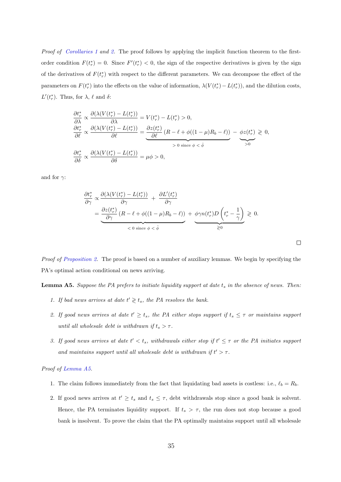Proof of [Corollaries 1](#page-22-0) and [2.](#page-23-0) The proof follows by applying the implicit function theorem to the firstorder condition  $F(t_r^*) = 0$ . Since  $F'(t_r^*) < 0$ , the sign of the respective derivatives is given by the sign of the derivatives of  $F(t_r^*)$  with respect to the different parameters. We can decompose the effect of the parameters on  $F(t_r^*)$  into the effects on the value of information,  $\lambda(V(t_r^*) - L(t_r^*))$ , and the dilution costs,  $L'(t_r^*).$  Thus, for  $\lambda$ ,  $\ell$  and  $\delta$ :

$$
\frac{\partial t_r^*}{\partial \lambda} \propto \frac{\partial (\lambda (V(t_r^*) - L(t_r^*))}{\partial \lambda} = V(t_r^*) - L(t_r^*) > 0,
$$
\n
$$
\frac{\partial t_r^*}{\partial \ell} \propto \frac{\partial (\lambda (V(t_r^*) - L(t_r^*))}{\partial \ell} = \underbrace{\frac{\partial z(t_r^*)}{\partial \ell} (R - \ell + \phi((1 - \mu)R_b - \ell))}_{> 0 \text{ since } \phi < \hat{\phi}} - \underbrace{\phi z(t_r^*)}_{> 0} \ge 0,
$$
\n
$$
\frac{\partial t_r^*}{\partial \delta} \propto \frac{\partial (\lambda (V(t_r^*) - L(t_r^*))}{\partial \delta} = \mu \phi > 0,
$$

and for  $\gamma$ :

$$
\frac{\partial t_r^*}{\partial \gamma} \propto \frac{\partial (\lambda (V(t_r^*) - L(t_r^*))}{\partial \gamma} + \frac{\partial L'(t_r^*)}{\partial \gamma} \n= \underbrace{\frac{\partial z(t_r^*)}{\partial \gamma} (R - \ell + \phi((1 - \mu)R_b - \ell))}_{\langle 0 \text{ since } \phi < \hat{\phi} + \epsilon \rangle} + \underbrace{\phi \gamma n(t_r^*) D \left(t_r^* - \frac{1}{\gamma}\right)}_{\geq 0} \geq 0.
$$

 $\Box$ 

Proof of [Proposition 2.](#page-27-3) The proof is based on a number of auxiliary lemmas. We begin by specifying the PA's optimal action conditional on news arriving.

<span id="page-39-0"></span>**Lemma A5.** Suppose the PA prefers to initiate liquidity support at date  $t_s$  in the absence of news. Then:

- 1. If bad news arrives at date  $t' \geq t_s$ , the PA resolves the bank.
- 2. If good news arrives at date  $t' \geq t_s$ , the PA either stops support if  $t_s \leq \tau$  or maintains support until all wholesale debt is withdrawn if  $t_s > \tau$ .
- 3. If good news arrives at date  $t' < t_s$ , withdrawals either stop if  $t' \leq \tau$  or the PA initiates support and maintains support until all wholesale debt is withdrawn if  $t' > \tau$ .

#### Proof of [Lemma A5.](#page-39-0)

- 1. The claim follows immediately from the fact that liquidating bad assets is costless: i.e.,  $\ell_b = R_b$ .
- 2. If good news arrives at  $t' \geq t_s$  and  $t_s \leq \tau$ , debt withdrawals stop since a good bank is solvent. Hence, the PA terminates liquidity support. If  $t_s > \tau$ , the run does not stop because a good bank is insolvent. To prove the claim that the PA optimally maintains support until all wholesale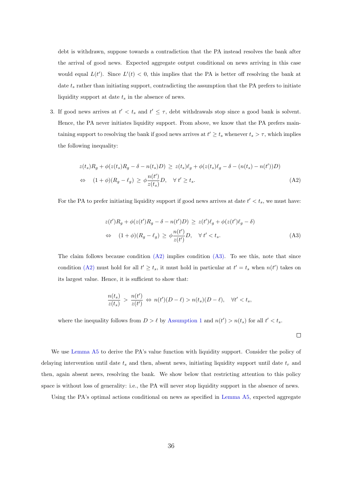debt is withdrawn, suppose towards a contradiction that the PA instead resolves the bank after the arrival of good news. Expected aggregate output conditional on news arriving in this case would equal  $L(t')$ . Since  $L'(t) < 0$ , this implies that the PA is better off resolving the bank at date  $t_s$  rather than initiating support, contradicting the assumption that the PA prefers to initiate liquidity support at date  $t_s$  in the absence of news.

3. If good news arrives at  $t' < t_s$  and  $t' \leq \tau$ , debt withdrawals stop since a good bank is solvent. Hence, the PA never initiates liquidity support. From above, we know that the PA prefers maintaining support to resolving the bank if good news arrives at  $t' \geq t_s$  whenever  $t_s > \tau$ , which implies the following inequality:

$$
z(t_s)R_g + \phi(z(t_s)R_g - \delta - n(t_s)D) \ge z(t_s)\ell_g + \phi(z(t_s)\ell_g - \delta - (n(t_s) - n(t'))D)
$$
  
\n
$$
\Leftrightarrow (1+\phi)(R_g - \ell_g) \ge \phi \frac{n(t')}{z(t_s)}D, \quad \forall \ t' \ge t_s.
$$
\n(A2)

For the PA to prefer initiating liquidity support if good news arrives at date  $t' < t_s$ , we must have:

$$
z(t')R_g + \phi(z(t')R_g - \delta - n(t')D) \ge z(t')\ell_g + \phi(z(t')\ell_g - \delta)
$$
  
\n
$$
\Leftrightarrow (1+\phi)(R_g - \ell_g) \ge \phi \frac{n(t')}{z(t')}D, \quad \forall t' < t_s.
$$
 (A3)

The claim follows because condition [\(A2\)](#page-40-0) implies condition [\(A3\).](#page-40-1) To see this, note that since condition [\(A2\)](#page-40-0) must hold for all  $t' \ge t_s$ , it must hold in particular at  $t' = t_s$  when  $n(t')$  takes on its largest value. Hence, it is sufficient to show that:

$$
\frac{n(t_s)}{z(t_s)} > \frac{n(t')}{z(t')} \Leftrightarrow n(t')(D-\ell) > n(t_s)(D-\ell), \quad \forall t' < t_s,
$$

where the inequality follows from  $D > \ell$  by [Assumption 1](#page-14-0) and  $n(t') > n(t_s)$  for all  $t' < t_s$ .

<span id="page-40-1"></span><span id="page-40-0"></span> $\Box$ 

We use [Lemma A5](#page-39-0) to derive the PA's value function with liquidity support. Consider the policy of delaying intervention until date  $t_s$  and then, absent news, initiating liquidity support until date  $t_r$  and then, again absent news, resolving the bank. We show below that restricting attention to this policy space is without loss of generality: i.e., the PA will never stop liquidity support in the absence of news.

Using the PA's optimal actions conditional on news as specified in [Lemma A5,](#page-39-0) expected aggregate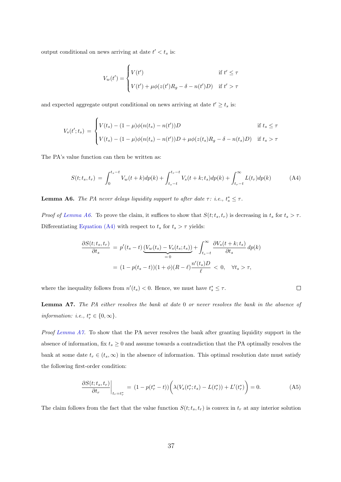output conditional on news arriving at date  $t' < t_s$  is:

$$
V_w(t') = \begin{cases} V(t') & \text{if } t' \le \tau \\ V(t') + \mu \phi(z(t')R_g - \delta - n(t')D) & \text{if } t' > \tau \end{cases}
$$

and expected aggregate output conditional on news arriving at date  $t' \geq t_s$  is:

$$
V_s(t';t_s) = \begin{cases} V(t_s) - (1 - \mu)\phi(n(t_s) - n(t'))D & \text{if } t_s \leq \tau \\ V(t_s) - (1 - \mu)\phi(n(t_s) - n(t'))D + \mu\phi(z(t_s)R_g - \delta - n(t_s)D) & \text{if } t_s > \tau \end{cases}
$$

The PA's value function can then be written as:

<span id="page-41-1"></span>
$$
S(t; t_s, t_r) = \int_0^{t_s - t} V_w(t + k) dp(k) + \int_{t_s - t}^{t_r - t} V_s(t + k; t_s) dp(k) + \int_{t_r - t}^{\infty} L(t_r) dp(k)
$$
(A4)

<span id="page-41-0"></span>**Lemma A6.** The PA never delays liquidity support to after date  $\tau$ : i.e.,  $t_s^* \leq \tau$ .

*Proof of [Lemma A6.](#page-41-0)* To prove the claim, it suffices to show that  $S(t; t_s, t_r)$  is decreasing in  $t_s$  for  $t_s > \tau$ . Differentiating [Equation \(A4\)](#page-41-1) with respect to  $t_s$  for  $t_s > \tau$  yields:

$$
\frac{\partial S(t; t_s, t_r)}{\partial t_s} = p'(t_s - t) \underbrace{(V_w(t_s) - V_s(t_s; t_s))}_{=0} + \int_{t_s - t}^{\infty} \frac{\partial V_s(t + k; t_s)}{\partial t_s} dp(k)
$$

$$
= (1 - p(t_s - t))(1 + \phi)(R - \ell) \frac{n'(t_s)D}{\ell} < 0, \quad \forall t_s > \tau,
$$

where the inequality follows from  $n'(t_s) < 0$ . Hence, we must have  $t_s^* \leq \tau$ .

<span id="page-41-2"></span>Lemma A7. The PA either resolves the bank at date 0 or never resolves the bank in the absence of information: i.e.,  $t_r^* \in \{0, \infty\}.$ 

Proof [Lemma A7.](#page-41-2) To show that the PA never resolves the bank after granting liquidity support in the absence of information, fix  $t_s \geq 0$  and assume towards a contradiction that the PA optimally resolves the bank at some date  $t_r \in (t_s, \infty)$  in the absence of information. This optimal resolution date must satisfy the following first-order condition:

<span id="page-41-3"></span>
$$
\frac{\partial S(t; t_s, t_r)}{\partial t_r}\bigg|_{t_r = t_r^*} = (1 - p(t_r^* - t)) \bigg( \lambda (V_s(t_r^*; t_s) - L(t_r^*)) + L'(t_r^*) \bigg) = 0. \tag{A5}
$$

 $\Box$ 

The claim follows from the fact that the value function  $S(t; t_s, t_r)$  is convex in  $t_r$  at any interior solution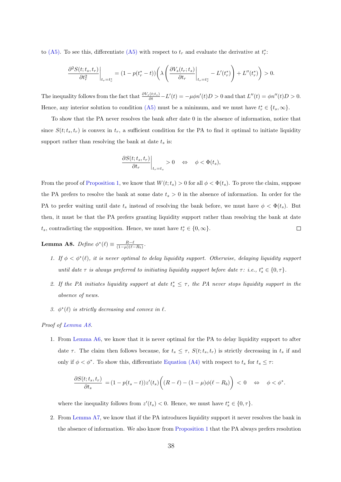to [\(A5\).](#page-41-3) To see this, differentiate [\(A5\)](#page-41-3) with respect to  $t_r$  and evaluate the derivative at  $t_r^*$ .

$$
\frac{\partial^2 S(t;t_s,t_r)}{\partial t_r^2}\bigg|_{t_r=t_r^*} = (1 - p(t_r^* - t)) \left(\lambda \left(\frac{\partial V_s(t_r;t_s)}{\partial t_r}\bigg|_{t_r=t_r^*} - L'(t_r^*)\right) + L''(t_r^*)\right) > 0.
$$

The inequality follows from the fact that  $\frac{\partial V_s(t;t_s)}{\partial t} - L'(t) = -\mu \phi n'(t)D > 0$  and that  $L''(t) = \phi n''(t)D > 0$ . Hence, any interior solution to condition [\(A5\)](#page-41-3) must be a minimum, and we must have  $t_r^* \in \{t_s, \infty\}$ .

To show that the PA never resolves the bank after date 0 in the absence of information, notice that since  $S(t; t_s, t_r)$  is convex in  $t_r$ , a sufficient condition for the PA to find it optimal to initiate liquidity support rather than resolving the bank at date  $t_s$  is:

$$
\left. \frac{\partial S(t;t_s,t_r)}{\partial t_r} \right|_{t_r=t_s} > 0 \quad \Leftrightarrow \quad \phi < \Phi(t_s),
$$

From the proof of [Proposition 1,](#page-21-0) we know that  $W(t; t_s) > 0$  for all  $\phi < \Phi(t_s)$ . To prove the claim, suppose the PA prefers to resolve the bank at some date  $t_s > 0$  in the absence of information. In order for the PA to prefer waiting until date  $t_s$  instead of resolving the bank before, we must have  $\phi < \Phi(t_s)$ . But then, it must be that the PA prefers granting liquidity support rather than resolving the bank at date  $t_s$ , contradicting the supposition. Hence, we must have  $t_r^* \in \{0, \infty\}$ .  $\Box$ 

<span id="page-42-0"></span>**Lemma A8.** Define  $\phi^*(\ell) \equiv \frac{R-\ell}{(1-\mu)(\ell-R_b)}$ .

- 1. If  $\phi < \phi^*(\ell)$ , it is never optimal to delay liquidity support. Otherwise, delaying liquidity support until date  $\tau$  is always preferred to initiating liquidity support before date  $\tau$ : i.e.,  $t_s^* \in \{0, \tau\}$ .
- 2. If the PA initiates liquidity support at date  $t_s^* \leq \tau$ , the PA never stops liquidity support in the absence of news.
- 3.  $\phi^*(\ell)$  is strictly decreasing and convex in  $\ell$ .

#### Proof of [Lemma A8.](#page-42-0)

1. From [Lemma A6,](#page-41-0) we know that it is never optimal for the PA to delay liquidity support to after date  $\tau$ . The claim then follows because, for  $t_s \leq \tau$ ,  $S(t; t_s, t_r)$  is strictly decreasing in  $t_s$  if and only if  $\phi < \phi^*$ . To show this, differentiate [Equation \(A4\)](#page-41-1) with respect to  $t_s$  for  $t_s \leq \tau$ :

$$
\frac{\partial S(t;t_s,t_r)}{\partial t_s} = (1 - p(t_s - t))z'(t_s)\bigg((R - \ell) - (1 - \mu)\phi(\ell - R_b)\bigg) < 0 \quad \Leftrightarrow \quad \phi < \phi^*.
$$

where the inequality follows from  $z'(t_s) < 0$ . Hence, we must have  $t_s^* \in \{0, \tau\}$ .

2. From [Lemma A7,](#page-41-2) we know that if the PA introduces liquidity support it never resolves the bank in the absence of information. We also know from [Proposition 1](#page-21-0) that the PA always prefers resolution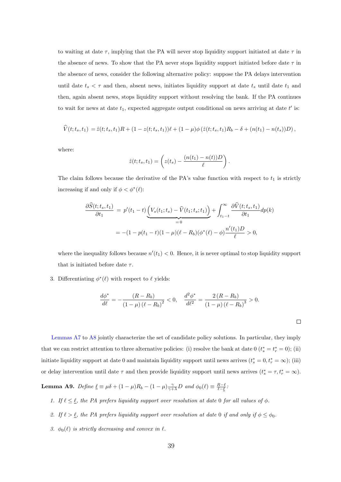to waiting at date  $\tau$ , implying that the PA will never stop liquidity support initiated at date  $\tau$  in the absence of news. To show that the PA never stops liquidity support initiated before date  $\tau$  in the absence of news, consider the following alternative policy: suppose the PA delays intervention until date  $t_s < \tau$  and then, absent news, initiates liquidity support at date  $t_s$  until date  $t_1$  and then, again absent news, stops liquidity support without resolving the bank. If the PA continues to wait for news at date  $t_1$ , expected aggregate output conditional on news arriving at date  $t'$  is:

$$
\widehat{V}(t; t_s, t_1) = \widehat{z}(t; t_s, t_1)R + (1 - z(t; t_s, t_1))\ell + (1 - \mu)\phi(\widehat{z}(t; t_s, t_1)R_b - \delta + (n(t_1) - n(t_s))D),
$$

where:

$$
\hat{z}(t; t_s, t_1) = \left(z(t_s) - \frac{(n(t_1) - n(t))D}{\ell}\right).
$$

The claim follows because the derivative of the PA's value function with respect to  $t_1$  is strictly increasing if and only if  $\phi < \phi^*(\ell)$ :

$$
\frac{\partial \widehat{S}(t; t_s, t_1)}{\partial t_1} = p'(t_1 - t) \underbrace{\left(V_s(t_1; t_s) - \widehat{V}(t_1; t_s; t_1)\right)}_{=0} + \int_{t_1 - t}^{\infty} \frac{\partial \widehat{V}(t; t_s, t_1)}{\partial t_1} dp(k)
$$

$$
= -(1 - p(t_1 - t)(1 - \mu)(\ell - R_b)(\phi^*(\ell) - \phi) \frac{n'(t_1)D}{\ell} > 0,
$$

where the inequality follows because  $n'(t_1) < 0$ . Hence, it is never optimal to stop liquidity support that is initiated before date  $\tau$ .

3. Differentiating  $\phi^*(\ell)$  with respect to  $\ell$  yields:

$$
\frac{d\phi^*}{d\ell} = -\frac{(R - R_b)}{(1 - \mu)(\ell - R_b)^2} < 0, \quad \frac{d^2\phi^*}{d\ell^2} = \frac{2\left(R - R_b\right)}{\left(1 - \mu\right)(\ell - R_b)^3} > 0.
$$

 $\Box$ 

[Lemmas A7](#page-41-2) to [A8](#page-42-0) jointly characterize the set of candidate policy solutions. In particular, they imply that we can restrict attention to three alternative policies: (i) resolve the bank at date 0  $(t_s^* = t_r^* = 0)$ ; (ii) initiate liquidity support at date 0 and maintain liquidity support until news arrives  $(t_s^* = 0, t_r^* = \infty)$ ; (iii) or delay intervention until date  $\tau$  and then provide liquidity support until news arrives  $(t_s^* = \tau, t_r^* = \infty)$ .

<span id="page-43-0"></span>**Lemma A9.** Define  $\underline{\ell} \equiv \mu \delta + (1 - \mu)R_b - (1 - \mu)\frac{\gamma}{\gamma + \lambda}D$  and  $\phi_0(\ell) \equiv \frac{R - \ell}{\ell - \ell}$ .

- 1. If  $\ell \leq \underline{\ell}$ , the PA prefers liquidity support over resolution at date 0 for all values of  $\phi$ .
- 2. If  $\ell > \underline{\ell}$ , the PA prefers liquidity support over resolution at date 0 if and only if  $\phi \leq \phi_0$ .
- 3.  $\phi_0(\ell)$  is strictly decreasing and convex in  $\ell$ .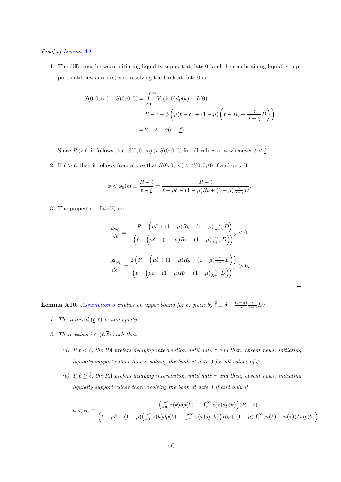#### Proof of [Lemma A9.](#page-43-0)

1. The difference between initiating liquidity support at date 0 (and then maintaining liquidity support until news arrives) and resolving the bank at date 0 is:

$$
S(0;0,\infty) - S(0;0,0) = \int_0^\infty V_s(k;0)dp(k) - L(0)
$$
  
=  $R - \ell - \phi \left(\mu(\ell - \delta) + (1 - \mu) \left(\ell - R_b + \frac{\gamma}{\lambda + \gamma}D\right)\right)$   
=  $R - \ell - \phi(\ell - \ell)$ .

Since  $R > \ell$ , it follows that  $S(0; 0, \infty) > S(0; 0, 0)$  for all values of  $\phi$  whenever  $\ell < \ell$ .

2. If  $\ell > \underline{\ell}$ , then it follows from above that  $S(0; 0, \infty) > S(0; 0, 0)$  if and only if:

$$
\phi < \phi_0(\ell) \equiv \frac{R - \ell}{\ell - \underline{\ell}} = \frac{R - \ell}{\ell - \mu \delta - (1 - \mu)R_b + (1 - \mu)\frac{\gamma}{\lambda + \gamma}D}.
$$

3. The properties of  $\phi_0(\ell)$  are:

$$
\frac{d\phi_0}{d\ell} = -\frac{R - \left(\mu\delta + (1 - \mu)R_b - (1 - \mu)\frac{\gamma}{\lambda + \gamma}D\right)}{\left(\ell - \left(\mu\delta + (1 - \mu)R_b - (1 - \mu)\frac{\gamma}{\lambda + \gamma}D\right)\right)^2} < 0,
$$

$$
\frac{d^2\phi_0}{d\ell^2} = \frac{2\left(R - \left(\mu\delta + (1 - \mu)R_b - (1 - \mu)\frac{\gamma}{\lambda + \gamma}D\right)\right)}{\left(\ell - \left(\mu\delta + (1 - \mu)R_b - (1 - \mu)\frac{\gamma}{\lambda + \gamma}D\right)\right)^3} > 0.
$$

 $\Box$ 

<span id="page-44-0"></span>**Lemma A10.** [Assumption 3](#page-27-0) implies an upper bound for  $\ell$ , given by  $\bar{\ell} \equiv \delta - \frac{(1-\mu)}{\mu}$  $\frac{-\mu)}{\mu} \frac{\gamma}{\lambda + \gamma} D$ .

- 1. The interval  $(\underline{\ell}, \overline{\ell})$  is non-epmty.
- 2. There exists  $\hat{\ell} \in (\underline{\ell}, \overline{\ell})$  such that:
	- (a) If  $\ell < \hat{\ell}$ , the PA prefers delaying intervention until date  $\tau$  and then, absent news, initiating liquidity support rather than resolving the bank at date 0 for all values of  $\phi$ .
	- (b) If  $\ell \geq \hat{\ell}$ , the PA prefers delaying intervention until date  $\tau$  and then, absent news, initiating liquidity support rather than resolving the bank at date 0 if and only if

$$
\phi < \phi_1 \equiv \frac{\left(\int_0^{\tau} z(k) dp(k) + \int_{\tau}^{\infty} z(\tau) dp(k)\right) (R - \ell)}{\left(\ell - \mu \delta - (1 - \mu) \left(\int_0^{\tau} z(k) dp(k) + \int_{\tau}^{\infty} z(\tau) dp(k)\right) R_b + (1 - \mu) \int_{\tau}^{\infty} (n(k) - n(\tau)) D dp(k)\right)}.
$$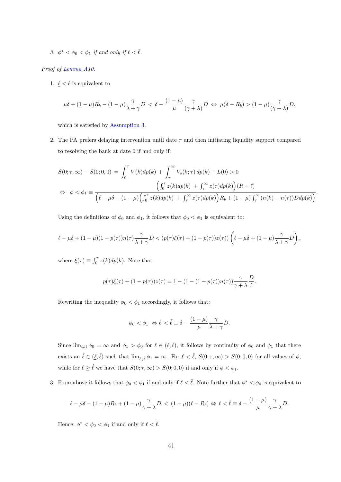3.  $\phi^* < \phi_0 < \phi_1$  if and only if  $\ell < \overline{\ell}$ .

#### Proof of [Lemma A10.](#page-44-0)

1.  $\ell < \overline{\ell}$  is equivalent to

$$
\mu\delta + (1-\mu)R_b - (1-\mu)\frac{\gamma}{\lambda+\gamma}D < \delta - \frac{(1-\mu)}{\mu}\frac{\gamma}{(\gamma+\lambda)}D \Leftrightarrow \mu(\delta - R_b) > (1-\mu)\frac{\gamma}{(\gamma+\lambda)}D,
$$

which is satisfied by [Assumption 3.](#page-27-0)

2. The PA prefers delaying intervention until date  $\tau$  and then initiating liquidity support compared to resolving the bank at date 0 if and only if:

$$
S(0; \tau, \infty) - S(0; 0, 0) = \int_0^{\tau} V(k) dp(k) + \int_{\tau}^{\infty} V_s(k; \tau) dp(k) - L(0) > 0
$$
  
\n
$$
\Leftrightarrow \phi < \phi_1 \equiv \frac{\left(\int_0^{\tau} z(k) dp(k) + \int_{\tau}^{\infty} z(\tau) dp(k)\right) (R - \ell)}{\left(\ell - \mu \delta - (1 - \mu) \left(\int_0^{\tau} z(k) dp(k) + \int_{\tau}^{\infty} z(\tau) dp(k)\right) R_b + (1 - \mu) \int_{\tau}^{\infty} (n(k) - n(\tau)) D dp(k)\right)}.
$$

Using the definitions of  $\phi_0$  and  $\phi_1$ , it follows that  $\phi_0 < \phi_1$  is equivalent to:

$$
\ell - \mu \delta + (1 - \mu)(1 - p(\tau))n(\tau)\frac{\gamma}{\lambda + \gamma}D < (p(\tau)\xi(\tau) + (1 - p(\tau))z(\tau))\left(\ell - \mu\delta + (1 - \mu)\frac{\gamma}{\lambda + \gamma}D\right),
$$

where  $\xi(\tau) \equiv \int_0^{\tau} z(k) dp(k)$ . Note that:

$$
p(\tau)\xi(\tau) + (1 - p(\tau))z(\tau) = 1 - (1 - (1 - p(\tau))n(\tau))\frac{\gamma}{\gamma + \lambda} \frac{D}{\ell}.
$$

Rewriting the inequality  $\phi_0 < \phi_1$  accordingly, it follows that:

$$
\phi_0 < \phi_1 \Leftrightarrow \ell < \bar{\ell} \equiv \delta - \frac{(1-\mu)}{\mu} \frac{\gamma}{\lambda + \gamma} D.
$$

Since  $\lim_{\ell \downarrow \ell} \phi_0 = \infty$  and  $\phi_1 > \phi_0$  for  $\ell \in (\ell, \overline{\ell})$ , it follows by continuity of  $\phi_0$  and  $\phi_1$  that there exists an  $\hat{\ell} \in (\underline{\ell}, \overline{\ell})$  such that  $\lim_{\ell \downarrow \hat{\ell}} \phi_1 = \infty$ . For  $\ell < \hat{\ell}$ ,  $S(0; \tau, \infty) > S(0; 0, 0)$  for all values of  $\phi$ , while for  $\ell \geq \hat{\ell}$  we have that  $S(0; \tau, \infty) > S(0; 0, 0)$  if and only if  $\phi < \phi_1$ .

3. From above it follows that  $\phi_0 < \phi_1$  if and only if  $\ell < \overline{\ell}$ . Note further that  $\phi^* < \phi_0$  is equivalent to

$$
\ell - \mu \delta - (1 - \mu)R_b + (1 - \mu)\frac{\gamma}{\gamma + \lambda}D < (1 - \mu)(\ell - R_b) \Leftrightarrow \ell < \bar{\ell} \equiv \delta - \frac{(1 - \mu)}{\mu} \frac{\gamma}{\gamma + \lambda}D.
$$

Hence,  $\phi^* < \phi_0 < \phi_1$  if and only if  $\ell < \overline{\ell}$ .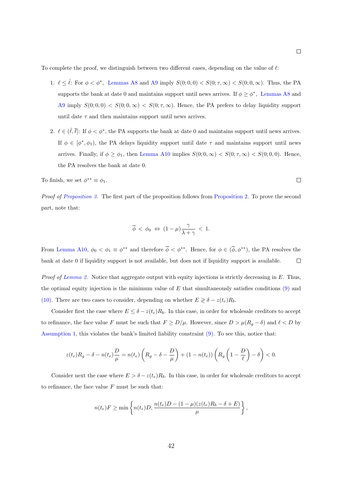To complete the proof, we distinguish between two different cases, depending on the value of  $\ell$ :

- 1.  $\ell \leq \hat{\ell}$ : For  $\phi < \phi^*$ , [Lemmas A8](#page-42-0) and [A9](#page-43-0) imply  $S(0; 0, 0) < S(0; \tau, \infty) < S(0; 0, \infty)$ . Thus, the PA supports the bank at date 0 and maintains support until news arrives. If  $\phi \geq \phi^*$ , [Lemmas A8](#page-42-0) and [A9](#page-43-0) imply  $S(0;0,0) < S(0;0,\infty) < S(0;\tau,\infty)$ . Hence, the PA prefers to delay liquidity support until date  $\tau$  and then maintains support until news arrives.
- 2.  $\ell \in (\ell, \overline{\ell}]$ : If  $\phi < \phi^*$ , the PA supports the bank at date 0 and maintains support until news arrives. If  $\phi \in [\phi^*, \phi_1]$ , the PA delays liquidity support until date  $\tau$  and maintains support until news arrives. Finally, if  $\phi \ge \phi_1$ , then [Lemma A10](#page-44-0) implies  $S(0; 0, \infty) < S(0; \tau, \infty) < S(0; 0, 0)$ . Hence, the PA resolves the bank at date 0.

To finish, we set 
$$
\phi^{**} \equiv \phi_1
$$
.

Proof of [Proposition 3.](#page-31-1) The first part of the proposition follows from [Proposition 2.](#page-27-3) To prove the second part, note that:

$$
\overline{\phi} \, < \, \phi_0 \; \Leftrightarrow \; (1-\mu) \frac{\gamma}{\lambda + \gamma} \, < \, 1.
$$

From [Lemma A10,](#page-44-0)  $\phi_0 < \phi_1 \equiv \phi^{**}$  and therefore  $\overline{\phi} < \phi^{**}$ . Hence, for  $\phi \in (\overline{\phi}, \phi^{**})$ , the PA resolves the bank at date 0 if liquidity support is not available, but does not if liquidity support is available.  $\Box$ 

Proof of [Lemma 2.](#page-33-2) Notice that aggregate output with equity injections is strictly decreasing in E. Thus, the optimal equity injection is the minimum value of  $E$  that simultaneously satisfies conditions  $(9)$  and [\(10\).](#page-32-1) There are two cases to consider, depending on whether  $E \geq \delta - z(t_e)R_b$ .

Consider first the case where  $E \leq \delta - z(t_e)R_b$ . In this case, in order for wholesale creditors to accept to refinance, the face value F must be such that  $F \ge D/\mu$ . However, since  $D > \mu(R_g - \delta)$  and  $\ell < D$  by [Assumption 1,](#page-14-0) this violates the bank's limited liability constraint [\(9\).](#page-32-0) To see this, notice that:

$$
z(t_e)R_g - \delta - n(t_e)\frac{D}{\mu} = n(t_e)\left(R_g - \delta - \frac{D}{\mu}\right) + (1 - n(t_e))\left(R_g\left(1 - \frac{D}{\ell}\right) - \delta\right) < 0.
$$

Consider next the case where  $E > \delta - z(t_e)R_b$ . In this case, in order for wholesale creditors to accept to refinance, the face value  $F$  must be such that:

$$
n(t_e)F \ge \min\left\{n(t_e)D, \frac{n(t_e)D - (1 - \mu)(z(t_e)R_b - \delta + E)}{\mu}\right\},\,
$$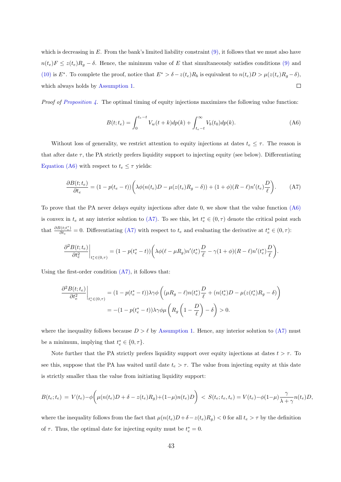which is decreasing in  $E$ . From the bank's limited liability constraint  $(9)$ , it follows that we must also have  $n(t_e)F \leq z(t_e)R_g - \delta$ . Hence, the minimum value of E that simultaneously satisfies conditions [\(9\)](#page-32-0) and [\(10\)](#page-32-1) is E<sup>\*</sup>. To complete the proof, notice that  $E^* > \delta - z(t_e)R_b$  is equivalent to  $n(t_e)D > \mu(z(t_e)R_g - \delta)$ , which always holds by [Assumption 1.](#page-14-0)  $\Box$ 

Proof of [Proposition 4.](#page-33-3) The optimal timing of equity injections maximizes the following value function:

<span id="page-47-1"></span><span id="page-47-0"></span>
$$
B(t; t_e) = \int_0^{t_e - t} V_w(t + k) dp(k) + \int_{t_e - t}^{\infty} V_b(t_0) dp(k).
$$
 (A6)

Without loss of generality, we restrict attention to equity injections at dates  $t_e \leq \tau$ . The reason is that after date  $\tau$ , the PA strictly prefers liquidity support to injecting equity (see below). Differentiating [Equation \(A6\)](#page-47-0) with respect to  $t_e \leq \tau$  yields:

$$
\frac{\partial B(t; t_e)}{\partial t_e} = (1 - p(t_e - t)) \left( \lambda \phi(n(t_e)D - \mu(z(t_e)R_g - \delta)) + (1 + \phi)(R - \ell)n'(t_e) \frac{D}{\ell} \right). \tag{A7}
$$

To prove that the PA never delays equity injections after date 0, we show that the value function [\(A6\)](#page-47-0) is convex in  $t_e$  at any interior solution to [\(A7\).](#page-47-1) To see this, let  $t_e^* \in (0, \tau)$  denote the critical point such that  $\frac{\partial B(t;t_e^*)}{\partial t}$  $\frac{\partial (t;t_e^*)}{\partial t_e} = 0$ . Differentiating [\(A7\)](#page-47-1) with respect to  $t_e$  and evaluating the derivative at  $t_e^* \in (0,\tau)$ :

$$
\frac{\partial^2 B(t;t_e)}{\partial t_e^2}\bigg|_{t_e^* \in (0,\tau)} = (1 - p(t_e^* - t)) \bigg( \lambda \phi(\ell - \mu R_g) n'(t_e^*) \frac{D}{\ell} - \gamma (1 + \phi)(R - \ell) n'(t_e^*) \frac{D}{\ell} \bigg).
$$

Using the first-order condition [\(A7\),](#page-47-1) it follows that:

$$
\frac{\partial^2 B(t;t_e)}{\partial t_e^2}\bigg|_{t_e^* \in (0,\tau)} = (1 - p(t_e^* - t))\lambda \gamma \phi \left( (\mu R_g - \ell) n(t_e^*) \frac{D}{\ell} + (n(t_e^*) D - \mu(z(t_e^*) R_g - \delta) \right)
$$

$$
= -(1 - p(t_e^* - t))\lambda \gamma \phi \mu \left( R_g \left( 1 - \frac{D}{\ell} \right) - \delta \right) > 0.
$$

where the inequality follows because  $D > \ell$  by [Assumption 1.](#page-14-0) Hence, any interior solution to [\(A7\)](#page-47-1) must be a minimum, implying that  $t_e^* \in \{0, \tau\}.$ 

Note further that the PA strictly prefers liquidity support over equity injections at dates  $t > \tau$ . To see this, suppose that the PA has waited until date  $t_e > \tau$ . The value from injecting equity at this date is strictly smaller than the value from initiating liquidity support:

$$
B(t_e; t_e) = V(t_e) - \phi \bigg( \mu(n(t_e)D + \delta - z(t_e)R_g) + (1-\mu)n(t_e)D \bigg) < S(t_e; t_e, t_e) = V(t_e) - \phi(1-\mu)\frac{\gamma}{\lambda + \gamma}n(t_e)D,
$$

where the inequality follows from the fact that  $\mu(n(t_e)D + \delta - z(t_e)R_g) < 0$  for all  $t_e > \tau$  by the definition of  $\tau$ . Thus, the optimal date for injecting equity must be  $t_e^* = 0$ .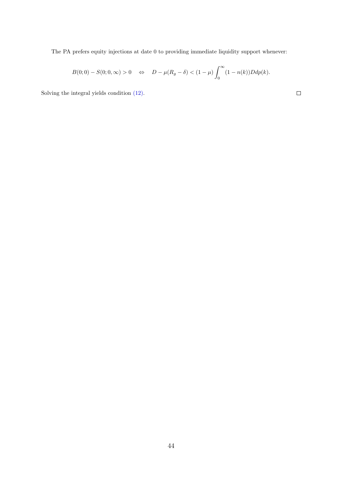The PA prefers equity injections at date 0 to providing immediate liquidity support whenever:

$$
B(0;0) - S(0;0,\infty) > 0 \quad \Leftrightarrow \quad D - \mu(R_g - \delta) < (1 - \mu) \int_0^\infty (1 - n(k)) D dp(k).
$$

 $\Box$ 

Solving the integral yields condition [\(12\).](#page-33-1)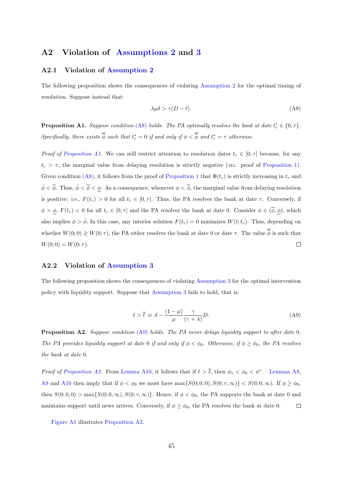#### <span id="page-49-0"></span>A2 Violation of [Assumptions 2](#page-20-1) and [3](#page-27-0)

#### A2.1 Violation of [Assumption 2](#page-20-1)

The following proposition shows the consequences of violating [Assumption 2](#page-20-1) for the optimal timing of resolution. Suppose instead that:

<span id="page-49-1"></span>
$$
\lambda \mu \delta > \gamma (D - \ell). \tag{A8}
$$

**Proposition A1.** Suppose condition [\(A8\)](#page-49-1) holds. The PA optimally resolves the bank at date  $t_r^* \in \{0, \tau\}$ . Specifically, there exists  $\overline{\phi}$  such that  $t_r^* = 0$  if and only if  $\phi < \overline{\phi}$  and  $t_r^* = \tau$  otherwise.

Proof of [Proposition A1.](#page-21-0) We can still restrict attention to resolution dates  $t_r \in [0, \tau]$  because, for any  $t_r > \tau$ , the marginal value from delaying resolution is strictly negative (*viz.* proof of [Proposition 1\)](#page-21-0). Given condition [\(A8\),](#page-49-1) it follows from the proof of [Proposition 1](#page-21-0) that  $\Phi(t_r)$  is strictly increasing in  $t_r$  and  $\hat{\phi} < \overline{\phi}$ . Thus,  $\hat{\phi} < \overline{\phi} < \phi$ . As a consequence, whenever  $\phi < \overline{\phi}$ , the marginal value from delaying resolution is positive: i.e.,  $F(t_r) > 0$  for all  $t_r \in [0, \tau]$ . Thus, the PA resolves the bank at date  $\tau$ . Conversely, if  $\phi > \phi$ ,  $F(t_r) < 0$  for all  $t_r \in [0, \tau]$  and the PA resolves the bank at date 0. Consider  $\phi \in (\overline{\phi}, \phi)$ , which also implies  $\phi > \hat{\phi}$ . In this case, any interior solution  $F(t_r) = 0$  minimizes  $W(t; t_r)$ . Thus, depending on whether  $W(0,0) \geq W(0, \tau)$ , the PA either resolves the bank at date 0 or date  $\tau$ . The value  $\overline{\phi}$  is such that  $\Box$  $W(0; 0) = W(0; \tau).$ 

#### A2.2 Violation of [Assumption 3](#page-27-0)

<span id="page-49-2"></span>The following proposition shows the consequences of violating [Assumption 3](#page-27-0) for the optimal intervention policy with liquidity support. Suppose that [Assumption 3](#page-27-0) fails to hold, that is:

$$
\ell > \bar{\ell} \equiv \delta - \frac{(1 - \mu)}{\mu} \frac{\gamma}{(\gamma + \lambda)} D. \tag{A9}
$$

Proposition A2. Suppose condition [\(A9\)](#page-49-2) holds. The PA never delays liquidity support to after date 0. The PA provides liquidity support at date 0 if and only if  $\phi < \phi_0$ . Otherwise, if  $\phi \geq \phi_0$ , the PA resolves the bank at date 0.

*Proof of [Proposition A2.](#page-27-3)* From [Lemma A10,](#page-44-0) it follows that if  $\ell > \overline{\ell}$ , then  $\phi_1 < \phi_0 < \phi^*$ . [Lemmas A8,](#page-42-0) [A9](#page-43-0) and [A10](#page-44-0) then imply that if  $\phi < \phi_0$  we must have  $\max\{S(0; 0, 0), S(0; \tau, \infty)\} < S(0; 0, \infty)$ . If  $\phi \ge \phi_0$ , then  $S(0; 0, 0) > \max\{S(0; 0, \infty), S(0; \tau, \infty)\}.$  Hence, if  $\phi < \phi_0$ , the PA supports the bank at date 0 and maintains support until news arrives. Conversely, if  $\phi \geq \phi_0$ , the PA resolves the bank at date 0.  $\Box$ 

[Figure A1](#page-50-1) illustrates [Proposition A2.](#page-27-3)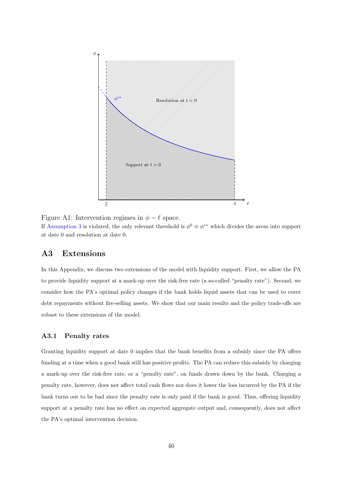<span id="page-50-1"></span>

Figure A1: Intervention regimes in  $\phi - \ell$  space. If [Assumption 3](#page-27-0) is violated, the only relevant threshold is  $\phi^0 \equiv \phi^{**}$  which divides the areas into support at date 0 and resolution at date 0.

# <span id="page-50-0"></span>A3 Extensions

In this Appendix, we discuss two extensions of the model with liquidity support. First, we allow the PA to provide liquidity support at a mark-up over the risk-free rate (a so-called "penalty rate"). Second, we consider how the PA's optimal policy changes if the bank holds liquid assets that can be used to cover debt repayments without fire-selling assets. We show that our main results and the policy trade-offs are robust to these extensions of the model.

## A3.1 Penalty rates

Granting liquidity support at date 0 implies that the bank benefits from a subsidy since the PA offers funding at a time when a good bank still has positive profits. The PA can reduce this subsidy by charging a mark-up over the risk-free rate, or a "penalty rate", on funds drawn down by the bank. Charging a penalty rate, however, does not affect total cash flows nor does it lower the loss incurred by the PA if the bank turns out to be bad since the penalty rate is only paid if the bank is good. Thus, offering liquidity support at a penalty rate has no effect on expected aggregate output and, consequently, does not affect the PA's optimal intervention decision.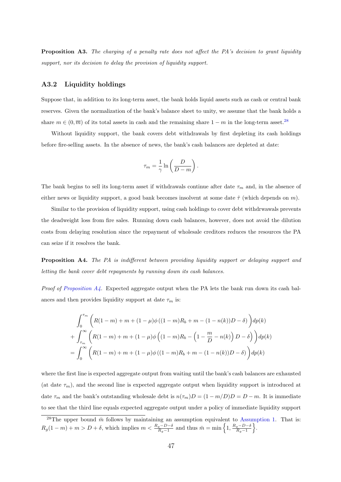**Proposition A3.** The charging of a penalty rate does not affect the PA's decision to grant liquidity support, nor its decision to delay the provision of liquidity support.

#### A3.2 Liquidity holdings

Suppose that, in addition to its long-term asset, the bank holds liquid assets such as cash or central bank reserves. Given the normalization of the bank's balance sheet to unity, we assume that the bank holds a share  $m \in (0, \overline{m})$  of its total assets in cash and the remaining share  $1 - m$  in the long-term asset.<sup>[28](#page--1-0)</sup>

Without liquidity support, the bank covers debt withdrawals by first depleting its cash holdings before fire-selling assets. In the absence of news, the bank's cash balances are depleted at date:

$$
\tau_m = \frac{1}{\gamma} \ln \left( \frac{D}{D - m} \right).
$$

The bank begins to sell its long-term asset if withdrawals continue after date  $\tau_m$  and, in the absence of either news or liquidity support, a good bank becomes insolvent at some date  $\hat{\tau}$  (which depends on m).

Similar to the provision of liquidity support, using cash holdings to cover debt withdrwawals prevents the deadweight loss from fire sales. Running down cash balances, however, does not avoid the dilution costs from delaying resolution since the repayment of wholesale creditors reduces the resources the PA can seize if it resolves the bank.

Proposition A4. The PA is indifferent between providing liquidity support or delaying support and letting the bank cover debt repayments by running down its cash balances.

*Proof of [Proposition A4.](#page-33-3)* Expected aggregate output when the PA lets the bank run down its cash balances and then provides liquidity support at date  $\tau_m$  is:

$$
\int_0^{\tau_m} \left( R(1-m) + m + (1-\mu)\phi((1-m)R_b + m - (1-n(k))D - \delta) \right) dp(k)
$$
  
+ 
$$
\int_{\tau_m}^{\infty} \left( R(1-m) + m + (1-\mu)\phi((1-m)R_b - (1-\frac{m}{D} - n(k))D - \delta) \right) dp(k)
$$
  
= 
$$
\int_0^{\infty} \left( R(1-m) + m + (1-\mu)\phi((1-m)R_b + m - (1-n(k))D - \delta) \right) dp(k)
$$

where the first line is expected aggregate output from waiting until the bank's cash balances are exhausted (at date  $\tau_m$ ), and the second line is expected aggregate output when liquidity support is introduced at date  $\tau_m$  and the bank's outstanding wholesale debt is  $n(\tau_m)D = (1 - m/D)D = D - m$ . It is immediate to see that the third line equals expected aggregate output under a policy of immediate liquidity support

<sup>&</sup>lt;sup>28</sup>The upper bound  $\bar{m}$  follows by maintaining an assumption equivalent to [Assumption 1.](#page-14-0) That is:  $R_g(1-m) + m > D + \delta$ , which implies  $m < \frac{R_g - D - \delta}{R_g - 1}$  and thus  $\bar{m} = \min\left\{1, \frac{R_g - D - \delta}{R_g - 1}\right\}$  $\frac{g-D-\delta}{R_g-1}\bigg\}.$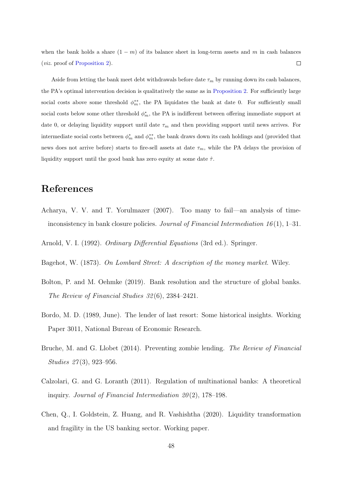when the bank holds a share  $(1 - m)$  of its balance sheet in long-term assets and m in cash balances (viz. proof of [Proposition 2\)](#page-27-3).  $\Box$ 

Aside from letting the bank meet debt withdrawals before date  $\tau_m$  by running down its cash balances, the PA's optimal intervention decision is qualitatively the same as in [Proposition 2.](#page-27-3) For sufficiently large social costs above some threshold  $\phi_m^{**}$ , the PA liquidates the bank at date 0. For sufficiently small social costs below some other threshold  $\phi_m^*$ , the PA is indifferent between offering immediate support at date 0, or delaying liquidity support until date  $\tau_m$  and then providing support until news arrives. For intermediate social costs between  $\phi_m^*$  and  $\phi_m^{**}$ , the bank draws down its cash holdings and (provided that news does not arrive before) starts to fire-sell assets at date  $\tau_m$ , while the PA delays the provision of liquidity support until the good bank has zero equity at some date  $\hat{\tau}$ .

# References

<span id="page-52-0"></span>Acharya, V. V. and T. Yorulmazer (2007). Too many to fail—an analysis of timeinconsistency in bank closure policies. Journal of Financial Intermediation 16(1), 1–31.

<span id="page-52-7"></span>Arnold, V. I. (1992). Ordinary Differential Equations (3rd ed.). Springer.

- <span id="page-52-3"></span>Bagehot, W. (1873). On Lombard Street: A description of the money market. Wiley.
- <span id="page-52-2"></span>Bolton, P. and M. Oehmke (2019). Bank resolution and the structure of global banks. The Review of Financial Studies 32 (6), 2384–2421.
- <span id="page-52-5"></span>Bordo, M. D. (1989, June). The lender of last resort: Some historical insights. Working Paper 3011, National Bureau of Economic Research.
- <span id="page-52-4"></span>Bruche, M. and G. Llobet (2014). Preventing zombie lending. The Review of Financial Studies 27(3), 923-956.
- <span id="page-52-1"></span>Calzolari, G. and G. Loranth (2011). Regulation of multinational banks: A theoretical inquiry. Journal of Financial Intermediation  $20(2)$ , 178–198.
- <span id="page-52-6"></span>Chen, Q., I. Goldstein, Z. Huang, and R. Vashishtha (2020). Liquidity transformation and fragility in the US banking sector. Working paper.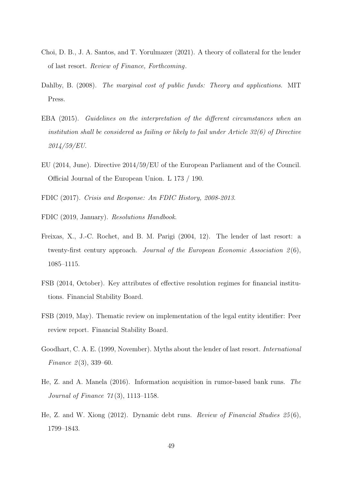- <span id="page-53-7"></span>Choi, D. B., J. A. Santos, and T. Yorulmazer (2021). A theory of collateral for the lender of last resort. Review of Finance, Forthcoming.
- <span id="page-53-8"></span>Dahlby, B. (2008). The marginal cost of public funds: Theory and applications. MIT Press.
- <span id="page-53-2"></span>EBA (2015). Guidelines on the interpretation of the different circumstances when an institution shall be considered as failing or likely to fail under Article 32(6) of Directive 2014/59/EU.
- <span id="page-53-9"></span>EU (2014, June). Directive 2014/59/EU of the European Parliament and of the Council. Official Journal of the European Union. L 173 / 190.
- <span id="page-53-3"></span>FDIC (2017). Crisis and Response: An FDIC History, 2008-2013.
- <span id="page-53-1"></span>FDIC (2019, January). Resolutions Handbook.
- <span id="page-53-4"></span>Freixas, X., J.-C. Rochet, and B. M. Parigi (2004, 12). The lender of last resort: a twenty-first century approach. Journal of the European Economic Association  $2(6)$ , 1085–1115.
- <span id="page-53-10"></span>FSB (2014, October). Key attributes of effective resolution regimes for financial institutions. Financial Stability Board.
- <span id="page-53-11"></span>FSB (2019, May). Thematic review on implementation of the legal entity identifier: Peer review report. Financial Stability Board.
- <span id="page-53-0"></span>Goodhart, C. A. E. (1999, November). Myths about the lender of last resort. International Finance  $2(3)$ , 339–60.
- <span id="page-53-6"></span>He, Z. and A. Manela (2016). Information acquisition in rumor-based bank runs. The Journal of Finance 71 (3), 1113–1158.
- <span id="page-53-5"></span>He, Z. and W. Xiong (2012). Dynamic debt runs. Review of Financial Studies 25 (6), 1799–1843.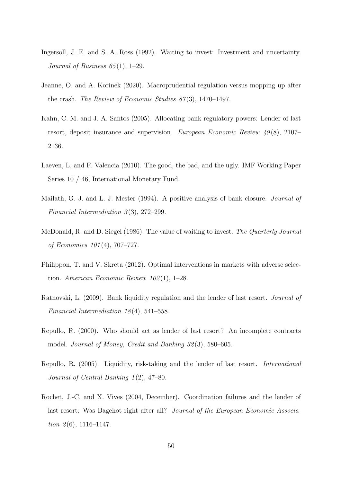- <span id="page-54-5"></span>Ingersoll, J. E. and S. A. Ross (1992). Waiting to invest: Investment and uncertainty. Journal of Business  $65(1)$ , 1–29.
- <span id="page-54-10"></span>Jeanne, O. and A. Korinek (2020). Macroprudential regulation versus mopping up after the crash. The Review of Economic Studies  $87(3)$ , 1470–1497.
- <span id="page-54-1"></span>Kahn, C. M. and J. A. Santos (2005). Allocating bank regulatory powers: Lender of last resort, deposit insurance and supervision. European Economic Review  $49(8)$ , 2107– 2136.
- <span id="page-54-2"></span>Laeven, L. and F. Valencia (2010). The good, the bad, and the ugly. IMF Working Paper Series 10 / 46, International Monetary Fund.
- <span id="page-54-3"></span>Mailath, G. J. and L. J. Mester (1994). A positive analysis of bank closure. Journal of Financial Intermediation 3(3), 272–299.
- <span id="page-54-4"></span>McDonald, R. and D. Siegel (1986). The value of waiting to invest. The Quarterly Journal of Economics 101 (4), 707–727.
- <span id="page-54-7"></span>Philippon, T. and V. Skreta (2012). Optimal interventions in markets with adverse selection. American Economic Review  $102(1)$ , 1–28.
- <span id="page-54-9"></span>Ratnovski, L. (2009). Bank liquidity regulation and the lender of last resort. Journal of Financial Intermediation 18(4), 541–558.
- <span id="page-54-0"></span>Repullo, R. (2000). Who should act as lender of last resort? An incomplete contracts model. Journal of Money, Credit and Banking 32 (3), 580–605.
- <span id="page-54-8"></span>Repullo, R. (2005). Liquidity, risk-taking and the lender of last resort. International Journal of Central Banking 1 (2), 47–80.
- <span id="page-54-6"></span>Rochet, J.-C. and X. Vives (2004, December). Coordination failures and the lender of last resort: Was Bagehot right after all? Journal of the European Economic Association  $\mathfrak{L}(6)$ , 1116–1147.